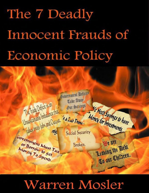# The 7 Deadly Innocent Frauds of Economic Policy



# Warren Mosler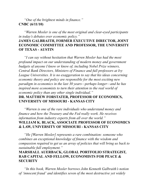*"One of the brightest minds in finance."* **CNBC (6/11/10)**

*"Warren Mosler is one of the most original and clear-eyed participants in today's debates over economic policy."*

#### **JAMES GALBRAITH, FORMER EXECUTIVE DIRECTOR, JOINT ECONOMIC COMMITTEE AND PROFESSOR, THE UNIVERSITY OF TEXAS - AUSTIN**

*"I can say without hesitation that Warren Mosler has had the most profound impact on our understanding of modern money and government budgets of anyone I know or know of, including Nobel Prize winners, Central Bank Directors, Ministers of Finance and full professors at Ivy League Universities. It is no exaggeration to say that his ideas concerning economic theory and policy are responsible for the most exciting new paradigm in economics in the last 30 years—perhaps longer—and he has inspired more economists to turn their attention to the real world of economic policy than any other single individual."* **DR. MATTHEW FORSTATER, PROFESSOR OF ECONOMICS, UNIVERSITY OF MISSOURI - KANSAS CITY**

*"Warren is one of the rare individuals who understand money and finance and how the Treasury and the Fed really work. He receives information from industry experts from all over the world."* **WILLIAM K. BLACK, ASSOCIATE PROFESSOR OF ECONOMICS & LAW, UNIVERSITY OF MISSOURI - KANSAS CITY**

*"He [Warren Mosler] represents a rare combination: someone who combines an exceptional knowledge of finance with the wisdom and compassion required to get us an array of policies that will bring us back to sustainable full employment."*

#### **MARSHALL AUERBACK, GLOBAL PORTFOLIO STRATEGIST, RAB CAPITAL AND FELLOW, ECONOMISTS FOR PEACE & SECURITY**

*"In this book, Warren Mosler borrows John Kenneth Galbraith's notion of 'innocent fraud' and identifies seven of the most destructive yet widely*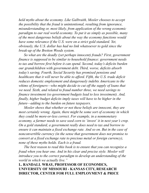*held myths about the economy. Like Galbraith, Mosler chooses to accept the possibility that the fraud is unintentional, resulting from ignorance, misunderstanding or, most likely, from application of the wrong economic paradigm to our real world economy. To put it as simply as possible, many of the most dangerous beliefs about the way the economy functions would have some relevance if the U.S. were on a strict gold standard. Yet, obviously, the U.S. dollar has had no link whatsoever to gold since the break-up of the Bretton Woods system.*

*So what are the deadly (yet perhaps innocent) frauds? First, government finance is supposed to be similar to household finance: government needs to tax and borrow first before it can spend. Second, today's deficits burden our grandchildren with government debt. Third, worse, deficits absorb today's saving. Fourth, Social Security has promised pensions and healthcare that it will never be able to afford. Fifth, the U.S. trade deficit reduces domestic employment and dangerously indebts Americans to the whims of foreigners—who might decide to cut off the supply of loans that we need. Sixth, and related to fraud number three, we need savings to finance investment (so government budgets lead to less investment). And, finally, higher budget deficits imply taxes will have to be higher in the future—adding to the burden on future taxpayers.*

*Mosler shows that whether or not these beliefs are innocent, they are most certainly wrong. Again, there might be some sort of economy in which they could be more-or-less correct. For example, in a nonmonetary economy, a farmer needs to save seed corn to 'invest' it in next year's crop. On a gold standard, a government really does need to tax and borrow to ensure it can maintain a fixed exchange rate. And so on. But in the case of nonconvertible currency (in the sense that government does not promise to convert at a fixed exchange rate to precious metal or foreign currency), none of these myths holds. Each is a fraud.*

*The best reason to read this book is to ensure that you can recognize a fraud when you hear one. And in his clear and precise style. Mosler will introduce you to the correct paradigm to develop an understanding of the world in which we actually live."*

**L. RANDALL WRAY, PROFESSOR OF ECONOMICS, UNIVERSITY OF MISSOURI - KANSAS CITY, RESEARCH DIRECTOR, CENTER FOR FULL EMPLOYMENT & PRICE**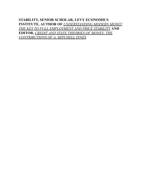**STABILITY, SENIOR SCHOLAR, LEVY ECONOMICS INSTITUTE, AUTHOR OF** *UNDERSTANDING MODERN MONEY, THE KEY TO FULL EMPLOYMENT AND PRICE STABILITY* **AND EDITOR,** *CREDIT AND STATE THEORIES OF MONEY: THE CONTRIBUTIONS OF A. MITCHELL INNES*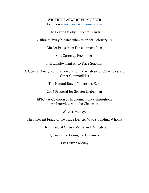WRITINGS of WARREN MOSLER (found on [www.moslereconomics.com\)](http://www.moslereconomics.com/)

The Seven Deadly Innocent Frauds

Galbraith/Wray/Mosler submission for February 25

Mosler Palestinian Development Plan

Soft Currency Economics

Full Employment AND Price Stability

A General Analytical Framework for the Analysis of Currencies and Other Commodities

The Natural Rate of Interest is Zero

2004 Proposal for Senator Lieberman

EPIC - A Coalition of Economic Policy Institutions An Interview with the Chairman

What is Money?

The Innocent Fraud of the Trade Deficit: Who's Funding Whom?

The Financial Crisis - Views and Remedies

Quantitative Easing for Dummies

Tax-Driven Money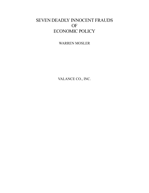# SEVEN DEADLY INNOCENT FRAUDS OF ECONOMIC POLICY

WARREN MOSLER

VALANCE CO., INC.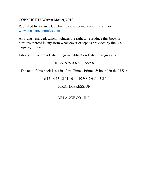COPYRIGHT©Warren Mosler, 2010

Published by Valance Co., Inc., by arrangement with the author [www.moslereconomics.com](http://www.moslereconomics.com/)

All rights reserved, which includes the right to reproduce this book or portions thereof in any form whatsoever except as provided by the U.S. Copyright Law.

Library of Congress Cataloging-in-Publication Data in progress for

ISBN: 978-0-692-00959-8

The text of this book is set in 12 pt. Times. Printed & bound in the U.S.A.

16 15 14 13 12 11 10 10 9 8 7 6 5 4 3 2 1

FIRST IMPRESSION

VALANCE CO., INC.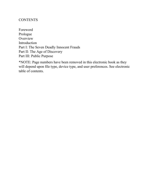#### **CONTENTS**

Foreword Prologue **Overview** Introduction Part I: The Seven Deadly Innocent Frauds Part II: The Age of Discovery Part III: Public Purpose

\*NOTE: Page numbers have been removed in this electronic book as they will depend upon file type, device type, and user preferences. See electronic table of contents.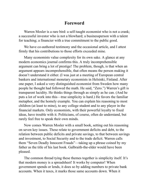### **Foreword**

Warren Mosler is a rare bird: a self-taught economist who is not a crank; a successful investor who is not a blowhard; a businessperson with a talent for teaching; a financier with a true commitment to the public good.

We have co-authored testimony and the occasional article, and I attest firmly that his contributions to those efforts exceeded mine.

Many economists value complexity for its own sake. A glance at any modern economics journal confirms this. A truly incomprehensible argument can bring a lot of prestige! The problem, though, is that when an argument appears incomprehensible, that often means the person making it doesn't understand it either. (I was just at a meeting of European central bankers and international monetary economists in Helsinki, Finland. After one paper, I asked a very distinguished economist from Sweden how many people he thought had followed the math. He said, "Zero.") Warren's gift is transparent lucidity. He thinks things through as simply as he can. (And he puts a lot of work into this—true simplicity is hard.) He favors the familiar metaphor, and the homely example. You can explain his reasoning to most children (at least to mine), to any college student and to any player in the financial markets. Only economists, with their powerful loyalty to fixed ideas, have trouble with it. Politicians, of course, often do understand, but rarely feel free to speak their own minds.

Now comes Warren Mosler with a small book, setting out his reasoning on seven key issues. These relate to government deficits and debt, to the relation between public deficits and private savings, to that between savings and investment, to Social Security and to the trade deficit. Warren calls them "Seven Deadly Innocent Frauds"—taking up a phrase coined by my father as the title of his last book. Galbraith-the-elder would have been pleased.

The common thread tying these themes together is simplicity itself. It's that modern money is a spreadsheet! It works by computer! When government spends or lends, it does so by adding numbers to private bank accounts. When it taxes, it marks those same accounts down. When it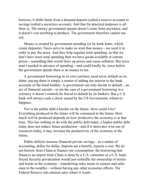borrows, it shifts funds from a demand deposit (called a reserve account) to savings (called a securities account). And that for practical purposes is all there is. The money government spends doesn't come from anywhere, and it doesn't cost anything to produce. The government therefore cannot run out.

Money is created by government spending (or by bank loans, which create deposits). Taxes serve to make us want that money—we need it in order to pay the taxes. And they help regulate total spending, so that we don't have more total spending than we have goods available at current prices—something that would force up prices and cause inflation. But taxes aren't needed in advance of spending—and could hardly be, since before the government spends there is no money to tax.

A government borrowing in its own currency need never default on its debts; paying them is simply a matter of adding the interest to the bank accounts of the bond holders. A government can only decide to default—an act of financial suicide—or (in the case of a government borrowing in a currency it doesn't control) be forced to default by its bankers. But a U.S. bank will always cash a check issued by the US Government, whatever happens.

Nor is the public debt a burden on the future. How could it be? Everything produced in the future will be consumed in the future. How much will be produced depends on how productive the economy is at that time. This has nothing to do with the public debt today; a higher public debt today does not reduce future production—and if it motivates wise use of resources today, it may increase the productivity of the economy in the future.

Public deficits increase financial private savings—as a matter of accounting, dollar for dollar. Imports are a benefit, exports a cost. We do not borrow from China to finance our consumption: the borrowing that finances an import from China is done by a U.S. consumer at a U.S. bank. Social Security privatization would just reshuffle the ownership of stocks and bonds in the economy—transferring risky assets to seniors and safer ones to the wealthy—without having any other economic effects. The Federal Reserve sets interest rates where it wants.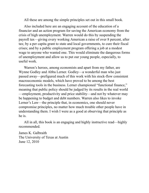All these are among the simple principles set out in this small book.

Also included here are an engaging account of the education of a financier and an action program for saving the American economy from the crisis of high unemployment. Warren would do this by suspending the payroll tax—giving every working American a raise of over 8 percent, after tax; by a per capita grant to state and local governments, to cure their fiscal crises; and by a public employment program offering a job at a modest wage to anyone who wanted one. This would eliminate the dangerous forms of unemployment and allow us to put our young people, especially, to useful work.

Warren's heroes, among economists and apart from my father, are Wynne Godley and Abba Lerner. Godley—a wonderful man who just passed away—prefigured much of this work with his stock-flow consistent macroeconomic models, which have proved to be among the best forecasting tools in the business. Lerner championed "functional finance," meaning that public policy should be judged by its results in the real world —employment, productivity and price stability—and not by whatever may be happening to budget and debt numbers. Warren also likes to invoke Lerner's Law—the principle that, in economics, one should never compromise principles, no matter how much trouble other people have in understanding them. I wish I were as a good at observing that principle as he is.

All in all, this book is an engaging and highly instructive read—highly recommended.

James K. Galbraith The University of Texas at Austin June 12, 2010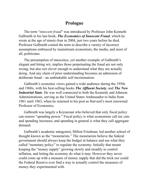# **Prologue**

The term "*innocent fraud*" was introduced by Professor John Kenneth Galbraith in his last book, *The Economics of Innocent Fraud*, which he wrote at the age of ninety-four in 2004, just two years before he died. Professor Galbraith coined the term to describe a variety of incorrect assumptions embraced by mainstream economists, the media, and most of all, politicians.

The presumption of innocence, yet another example of Galbraith's elegant and biting wit, implies those perpetuating the fraud are not only wrong, but also not clever enough to understand what they are actually doing. And any claim of prior understanding becomes an admission of deliberate fraud—an unthinkable self-incrimination.

Galbraith's economic views gained a wide audience during the 1950s and 1960s, with his best-selling books *The Affluent Society*, and *The New Industrial State*. He was well connected to both the Kennedy and Johnson Administrations, serving as the United States Ambassador to India from 1961 until 1963, when he returned to his post as Harvard's most renowned Professor of Economics.

Galbraith was largely a Keynesian who believed that only fiscal policy can restore "spending power." Fiscal policy is what economists call tax cuts and spending increases, and spending in general is what they call aggregate demand.

Galbraith's academic antagonist, Milton Friedman, led another school of thought known as the "monetarists." The monetarists believe the federal government should always keep the budget in balance and use what they called "monetary policy" to regulate the economy. Initially that meant keeping the "money supply" growing slowly and steadily to control inflation, and letting the economy do what it may. However they never could come up with a measure of money supply that did the trick nor could the Federal Reserve ever find a way to actually control the measures of money they experimented with.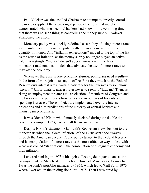Paul Volcker was the last Fed Chairman to attempt to directly control the money supply. After a prolonged period of actions that merely demonstrated what most central bankers had known for a very long time that there was no such thing as controlling the money supply—Volcker abandoned the effort.

Monetary policy was quickly redefined as a policy of using interest rates as the instrument of monetary policy rather than any measures of the quantity of money. And "inflation expectations" moved to the top of the list as the cause of inflation, as the money supply no longer played an active role. Interestingly, "money" doesn't appear anywhere in the latest monetarist mathematical models that advocate the use of interest rates to regulate the economy.

Whenever there are severe economic slumps, politicians need results in the form of more jobs—to stay in office. First they watch as the Federal Reserve cuts interest rates, waiting patiently for the low rates to somehow "kick in." Unfortunately, interest rates never to seem to "kick in." Then, as rising unemployment threatens the re-election of members of Congress and the President, the politicians turn to Keynesian policies of tax cuts and spending increases. These policies are implemented over the intense objections and dire predictions of the majority of central bankers and mainstream economists.

It was Richard Nixon who famously declared during the double dip economic slump of 1973, "We are all Keynesians now."

Despite Nixon's statement, Galbraith's Keynesian views lost out to the monetarists when the "Great Inflation" of the 1970s sent shock waves through the American psyche. Public policy turned to the Federal Reserve and its manipulation of interest rates as the most effective way to deal with what was coined "stagflation"—the combination of a stagnant economy and high inflation.

I entered banking in 1973 with a job collecting delinquent loans at the Savings Bank of Manchester in my home town of Manchester, Connecticut. I was the bank's portfolio manager by 1975, which led to Wall St. in 1976, where I worked on the trading floor until 1978. Then I was hired by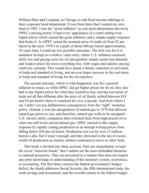William Blair and Company in Chicago to add fixed income arbitrage to their corporate bond department. It was from there that I started my own fund in 1982. I saw the "great inflation" as cost-push phenomena driven by OPEC's pricing power. It had every appearance of a cartel setting everhigher prices which caused the great inflation, and a simple supply response that broke it. As OPEC raised the nominal price of crude oil from \$2 per barrel in the early 1970's to a peak of about \$40 per barrel approximately 10 years later, I could see two possible outcomes. The first was for it to somehow be kept to a relative value story, where U.S. inflation remained fairly low and paying more for oil and gasoline simply meant less demand and weaker prices for most everything else, with wages and salaries staying relatively constant. This would have meant a drastic reduction in real terms of trade and standard of living, and an even larger increase in the real terms of trade and standard of living for the oil exporters.

The second outcome, which is what happened, was for a general inflation to ensue, so while OPEC did get higher prices for its oil, they also had to pay higher prices for what they wanted to buy, leaving real terms of trade not all that different after the price of oil finally settled between \$10 and \$5 per barrel where it remained for over a decade. And from where I sat, I didn't see any deflationary consequences from the "tight" monetary policy. Instead, it was the deregulation of natural gas in 1978 that allowed natural gas prices to rise, and therefore, natural gas wells to be uncapped. U.S. electric utility companies then switched fuels from high-priced oil to what was still lower-priced natural gas. OPEC reacted to this supply response by rapidly cutting production in an attempt to keep prices from falling below \$30 per oil barrel. Production was cut by over 15 million barrels a day, but it wasn't enough, and they drowned in the sea of excess world oil production as electric utilities continued to move to other fuels.

This book is divided into three sections. Part one immediately reveals the seven "innocent frauds" that I submit are the most imbedded obstacles to national prosperity. They are presented in a manner that does not require any prior knowledge or understanding of the monetary system, economics, or accounting. The first three concern the federal government's budget deficit, the fourth addresses Social Security, the fifth international trade, the sixth savings and investment, and the seventh returns to the federal budget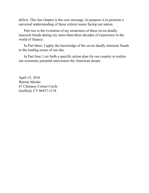deficit. This last chapter is the core message; its purpose is to promote a universal understanding of these critical issues facing our nation.

Part two is the evolution of my awareness of these seven deadly innocent frauds during my more-than-three decades of experience in the world of finance.

In Part three, I apply the knowledge of the seven deadly innocent frauds to the leading issues of our day.

In Part four, I set forth a specific action plan for our country to realize our economic potential and restore the American dream.

April 15, 2010 Warren Mosler 67 Chimney Corner Circle Guilford, CT 06437-3134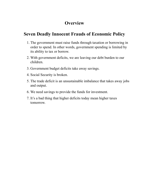# **Overview**

# **Seven Deadly Innocent Frauds of Economic Policy**

- 1. The government must raise funds through taxation or borrowing in order to spend. In other words, government spending is limited by its ability to tax or borrow.
- 2. With government deficits, we are leaving our debt burden to our children.
- 3. Government budget deficits take away savings.
- 4. Social Security is broken.
- 5. The trade deficit is an unsustainable imbalance that takes away jobs and output.
- 6. We need savings to provide the funds for investment.
- 7. It's a bad thing that higher deficits today mean higher taxes tomorrow.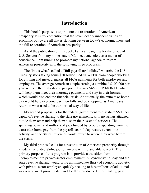# **Introduction**

This book's purpose is to promote the restoration of American prosperity. It is my contention that the seven deadly innocent frauds of economic policy are all that is standing between today's economic mess and the full restoration of American prosperity.

As of the publication of this book, I am campaigning for the office of U.S. Senator from my home state of Connecticut, solely as a matter of conscience. I am running to promote my national agenda to restore American prosperity with the following three proposals.

The first is what's called a "full payroll tax holiday" whereby the U.S. Treasury stops taking some \$20 billion EACH WEEK from people working for a living and instead, makes all FICA payments for both employees and employers. The average American couple earning a combined \$100,000 per year will see their take-home pay go up by over \$650 PER MONTH which will help them meet their mortgage payments and stay in their homes, which would also end the financial crisis. Additionally, the extra take-home pay would help everyone pay their bills and go shopping, as Americans return to what used to be our normal way of life.

My second proposal is for the federal government to distribute \$500 per capita of revenue sharing to the state governments, with no strings attached, to tide them over and help them sustain their essential services. The spending power and millions of jobs funded by people's spending from the extra take-home pay from the payroll-tax holiday restores economic activity, and the States' revenues would return to where they were before the crisis.

My third proposal calls for a restoration of American prosperity through a federally-funded \$8/hr. job for anyone willing and able to work. The primary purpose of this program is to provide a transition from unemployment to private-sector employment. A payroll-tax holiday and the state revenue sharing would bring an immediate flurry of economic activity, with private-sector employers quickly seeking to hire millions of additional workers to meet growing demand for their products. Unfortunately, past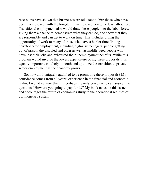recessions have shown that businesses are reluctant to hire those who have been unemployed, with the long-term unemployed being the least attractive. Transitional employment also would draw these people into the labor force, giving them a chance to demonstrate what they can do, and show that they are responsible and can get to work on time. This includes giving the opportunity of work to many of those who have a harder time finding private-sector employment, including high-risk teenagers, people getting out of prison, the disabled and older as well as middle-aged people who have lost their jobs and exhausted their unemployment benefits. While this program would involve the lowest expenditure of my three proposals, it is equally important as it helps smooth and optimize the transition to privatesector employment as the economy grows.

So, how am I uniquely qualified to be promoting these proposals? My confidence comes from 40 years' experience in the financial and economic realm. I would venture that I'm perhaps the only person who can answer the question: "How are you going to pay for it?" My book takes on this issue and encourages the return of economics study to the operational realities of our monetary system.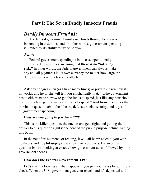# **Part I: The Seven Deadly Innocent Frauds**

# *Deadly Innocent Fraud #1:*

The federal government must raise funds through taxation or borrowing in order to spend. In other words, government spending is limited by its ability to tax or borrow.

#### *Fact:*

Federal government spending is in no case operationally constrained by revenues, meaning that **there is no "solvency risk."** In other words, the federal government can always make any and all payments in its own currency, no matter how large the deficit is, or how few taxes it collects.

Ask any congressman (as I have many times) or private citizen how it all works, and he or she will tell you emphatically that: "…the government has to either tax or borrow to get the funds to spend, just like any household has to somehow get the money it needs to spend." And from this comes the inevitable question about healthcare, defense, social security, and any and all government spending:

#### **How are you going to pay for it???!!!**

This is the killer question, the one no one gets right, and getting the answer to this question right is the core of the public purpose behind writing this book.

In the next few moments of reading, it will all be revealed to you with no theory and no philosophy- just a few hard cold facts. I answer this question by first looking at exactly how government taxes, followed by how government spends.

#### **How does the Federal Government Tax?**

Let's start by looking at what happens if you pay your taxes by writing a check. When the U.S. government gets your check, and it's deposited and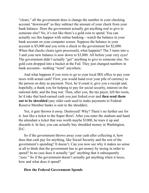"clears," all the government does is change the number in your checking account "downward" as they subtract the amount of your check from your bank balance. Does the government actually get anything real to give to someone else? No, it's not like there's a gold coin to spend. You can actually see this happen with online banking—watch the balance in your bank account on your computer screen. Suppose the balance in your account is \$5,000 and you write a check to the government for \$2,000. When that checks clears (gets processed), what happens? The 5 turns into a 3 and your new balance is now down to \$3,000. All before your very eyes! The government didn't actually "get" anything to give to someone else. No gold coin dropped into a bucket at the Fed. They just changed numbers in bank accounts—nothing "went" anywhere.

And what happens if you were to go to your local IRS office to pay your taxes with actual cash? First, you would hand over your pile of currency to the person on duty as payment. Next, he'd count it, give you a receipt and, hopefully, a thank you for helping to pay for social security, interest on the national debt, and the Iraq war. Then, after you, the tax payer, left the room, he'd take that hard-earned cash you just forked over and **then send them out to be shredded** (any older cash used to make payments to Federal Reserve Member banks is sent to the shredder).

Yes, it gets thrown it away. Destroyed! Why? There's no further use for it. Just like a ticket to the Super Bowl. After you enter the stadium and hand the attendant a ticket that was worth maybe \$1000, he tears it up and discards it. In fact, you can actually buy shredded money in Washington, D.C.

So if the government throws away your cash after collecting it, how does that cash pay for anything, like Social Security and the rest of the government's spending? It doesn't. Can you now see why it makes no sense at all to think that the government has to get money by taxing in order to spend? In no case does it actually "get" anything that it subsequently "uses." So if the government doesn't actually get anything when it taxes, how and what does it spend?

#### **How the Federal Government Spends**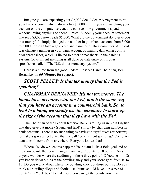Imagine you are expecting your \$2,000 Social Security payment to hit your bank account, which already has \$3,000 in it. If you are watching your account on the computer screen, you can see how government spends without having anything to spend. Presto! Suddenly your account statement that read \$3,000 now reads \$5,000. What did the government do to give you that money? It simply changed the number in your bank account from 3,000 to 5,000. It didn't take a gold coin and hammer it into a computer. All it did was change a number in your bank account by making data entries on its own spreadsheet, which is linked to other spreadsheets in the banking system. Government spending is all done by data entry on its own spreadsheet called "The U.S. dollar monetary system."

Here is a quote from the good Federal Reserve Bank Chairman, Ben Bernanke, on *60 Minutes* for support:

# *SCOTT PELLEY: Is that tax money that the Fed is spending?*

# *CHAIRMAN BERNANKE: It's not tax money. The banks have accounts with the Fed, much the same way that you have an account in a commercial bank. So, to lend to a bank, we simply use the computer to mark up the size of the account that they have with the Fed.*

The Chairman of the Federal Reserve Bank is telling us in plain English that they give out money (spend and lend) simply by changing numbers in bank accounts. There is no such thing as having to "get" taxes (or borrow) to make a spreadsheet entry that we call "government spending." Computer data doesn't come from anywhere. Everyone knows that!

Where else do we see this happen? Your team kicks a field goal and on the scoreboard, the score changes from, say, 7 points to 10 points. Does anyone wonder where the stadium got those three points? Of course not! Or you knock down 5 pins at the bowling alley and your score goes from 10 to 15. Do you worry about where the bowling alley got those points? Do you think all bowling alleys and football stadiums should have a 'reserve of points' in a "lock box" to make sure you can get the points you have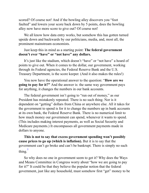scored? Of course not! And if the bowling alley discovers you "foot faulted" and lowers your score back down by 5 points, does the bowling alley now have more score to give out? Of course not!

We all know how data entry works, but somehow this has gotten turned upside down and backwards by our politicians, media, and, most all, the prominent mainstream economists.

#### Just keep this in mind as a starting point: **The federal government doesn't ever "have" or "not have" any dollars.**

It's just like the stadium, which doesn't "have" or "not have" a hoard of points to give out. When it comes to the dollar, our government, working through its Federal agencies, the Federal Reserve Bank and the U.S. Treasury Department, is the score keeper. (And it also makes the rules!)

You now have the operational answer to the question: "**How are we going to pay for it?"** And the answer is: the same way government pays for anything, it changes the numbers in our bank accounts.

The federal government isn't going to "run out of money," as our President has mistakenly repeated. There is no such thing. Nor is it dependent on "getting" dollars from China or anywhere else. All it takes for the government to spend is for it to change the numbers up in bank accounts at its own bank, the Federal Reserve Bank. There is no numerical limit to how much money our government can spend, whenever it wants to spend. (This includes making interest payments, as well as Social Security and Medicare payments.) It encompasses all government payments made in dollars to anyone.

**This is not to say that excess government spending won't possibly cause prices to go up (which is inflation).** But it is to say that the government can't go broke and can't be bankrupt. There is simply no such thing. $\frac{1}{1}$  $\frac{1}{1}$  $\frac{1}{1}$ 

So why does no one in government seem to get it? Why does the Ways and Means Committee in Congress worry about "how we are going to pay for it?" It could be that they believe the popular notion that the federal government, just like any household, must somehow first "get" money to be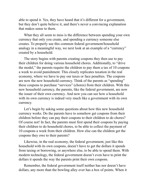able to spend it. Yes, they have heard that it's different for a government, but they don't quite believe it, and there's never a convincing explanation that makes sense to them.

What they all seem to miss is the difference between spending your own currency that only you create, and spending a currency someone else creates. To properly use this common federal government/household analogy in a meaningful way, we next look at an example of a "currency" created by a household.

The story begins with parents creating coupons they then use to pay their children for doing various household chores. Additionally, to "drive the model," the parents require the children to pay them a tax of 10 coupons a week to avoid punishment. This closely replicates taxation in the real economy, where we have to pay our taxes or face penalties. The coupons are now the new household currency. Think of the parents as "spending" these coupons to purchase "services" (chores) from their children. With this new household currency, the parents, like the federal government, are now the issuer of their own currency. And now you can see how a household with its own currency is indeed very much like a government with its own currency.

Let's begin by asking some questions about how this new household currency works. Do the parents have to somehow get coupons from their children before they can pay their coupons to their children to do chores? Of course not! In fact, the parents must first spend their coupons by paying their children to do household chores, to be able to collect the payment of 10 coupons a week from their children. How else can the children get the coupons they owe to their parents?

Likewise, in the real economy, the federal government, just like this household with its own coupons, doesn't have to get the dollars it spends from taxing or borrowing, or anywhere else, to be able to spend them. With modern technology, the federal government doesn't even have to print the dollars it spends the way the parents print their own coupons.

Remember, the federal government itself neither has nor doesn't have dollars, any more than the bowling alley ever has a box of points. When it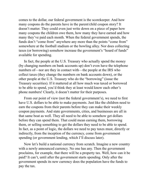comes to the dollar, our federal government is the scorekeeper. And how many coupons do the parents have in the parent/child coupon story? It doesn't matter. They could even just write down on a piece of paper how many coupons the children owe them, how many they have earned and how many they've paid each month. When the federal government spends, the funds don't "come from" anywhere any more than the points "come from" somewhere at the football stadium or the bowling alley. Nor does collecting taxes (or borrowing) somehow increase the government's "hoard of funds" available for spending.

In fact, the people at the U.S. Treasury who actually spend the money (by changing numbers on bank accounts up) don't even have the telephone numbers of—nor are they in contact with—the people at the IRS who collect taxes (they change the numbers on bank accounts down), or the other people at the U.S. Treasury who do the "borrowing" (issue the Treasury securities). If it mattered at all how much was taxed or borrowed to be able to spend, you'd think they at least would know each other's phone numbers! Clearly, it doesn't matter for their purposes.

From our point of view (not the federal government's), we need to first have U.S. dollars to be able to make payments. Just like the children need to earn the coupons from their parents before they can make their weekly coupon payments. And state governments, cities, and businesses are all in that same boat as well. They all need to be able to somehow get dollars before they can spend them. That could mean earning them, borrowing them, or selling something to get the dollars they need to be able to spend. In fact, as a point of logic, the dollars we need to pay taxes must, directly or indirectly, from the inception of the currency, come from government spending (or government lending, which I'll discuss later).

Now let's build a national currency from scratch. Imagine a new country with a newly announced currency. No one has any. Then the government proclaims, for example, that there will be a property tax. Well, how can it be paid? It can't, until after the government starts spending. Only after the government spends its new currency does the population have the funds to pay the tax.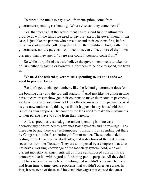To repeat: the funds to pay taxes, from inception, come from government spending (or lending). Where else can they come from?<sup>[2](#page-109-0)</sup>

Yes, that means that the government has to spend first, to ultimately provide us with the funds we need to pay our taxes. The government, in this case, is just like the parents who have to spend their coupons first, before they can start actually collecting them from their children. And, neither the government, nor the parents, from inception, can collect more of their own currency than they spend. Where else could it possibly come from?<sup>[3](#page-110-0)</sup>

So while our politicians truly believe the government needs to take our dollars, either by taxing or borrowing, for them to be able to spend, the truth is:

#### **We need the federal government's spending to get the funds we need to pay our taxes.**

We don't get to change numbers, like the federal government does (or the bowling alley and the football stadium).  $\frac{4}{3}$  $\frac{4}{3}$  $\frac{4}{3}$  And just like the children who have to earn or somehow get their coupons to make their coupon payments, we have to earn or somehow get US dollars to make our tax payments. And, as you now understand, this is just like it happens in any household that issues its own coupons. The coupons the kids need to make their payments to their parents have to come from their parents.

And, as previously stated, government spending is in no case operationally constrained by revenues (tax payments and borrowings). Yes, there can be and there are "self-imposed" constraints on spending put there by Congress, but that's an entirely different matter. These include debtceiling rules, Treasury-overdraft rules, and restrictions of the Fed buying securities from the Treasury. They are all imposed by a Congress that does not have a working knowledge of the monetary system. And, with our current monetary arrangements, all of those self-imposed constraints are counterproductive with regard to furthering public purpose. All they do is put blockages in the monetary plumbing that wouldn't otherwise be there, and from time to time, create problems that wouldn't otherwise arise. In fact, it was some of these self-imposed blockages that caused the latest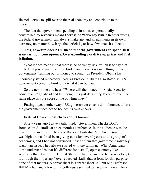financial crisis to spill over to the real economy and contribute to the recession.

The fact that government spending is in no case operationally constrained by revenues means **there is no "solvency risk."** In other words, the federal government can always make any and all payments in its own currency, no matter how large the deficit is, or how few taxes it collects.

#### **This, however, does NOT mean that the government can spend all it wants without consequence. Over-spending can drive up prices and fuel inflation.**

What it does mean is that there is no solvency risk, which is to say that the federal government can't go broke, and there is no such thing as our government "running out of money to spend," as President Obama has incorrectly stated repeatedly. Nor, as President Obama also stated, is U.S. government spending limited by what it can borrow.

So the next time you hear: "Where will the money for Social Security come from?" go ahead and tell them, "It's just data entry. It comes from the same place as your score at the bowling alley."

Putting it yet another way, U.S. government checks don't bounce, unless the government decides to bounce its own checks.

#### **Federal Government checks don't bounce.**

A few years ago I gave a talk titled, "Government Checks Don't Bounce" in Australia at an economics conference. In the audience was the head of research for the Reserve Bank of Australia, Mr. David Gruen. It was high drama. I had been giving talks for several years to this group of academics, and I had not convinced most of them that government solvency wasn't an issue. They always started with the familiar, "What Americans don't understand is that it's different for a small, open economy like Australia than it is for the United States." There seemed to be no way to get it through their (perhaps) over-educated skulls that at least for this purpose, none of that matters. A spreadsheet is a spreadsheet. All but one Professor Bill Mitchell and a few of his colleagues seemed to have this mental block,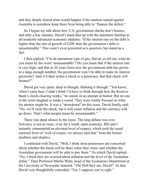and they deeply feared what would happen if the markets turned against Australia to somehow keep them from being able to "finance the deficit."

So I began my talk about how U.S. government checks don't bounce, and after a few minutes, David's hand shot up with the statement familiar to all modestly-advanced economic students: "If the interest rate on the debt is higher than the rate of growth of GDP, then the government's debt is unsustainable." This wasn't even presented as a question, but stated as a fact.

I then replied, "I'm an operations type of guy, David, so tell me, what do you mean by the word 'unsustainable'? Do you mean that if the interest rate is very high, and that in 20 years from now the government debt has grown to a large enough number, the government won't be able to make its interest payments? And if it then writes a check to a pensioner, that that check will bounce?"

David got very quiet, deep in thought, thinking it through. "You know, when I came here, I didn't think I'd have to think through how the Reserve Bank's check-clearing works," he stated, in an attempt at humor. But no one in the room laughed or made a sound. They were totally focused on what his answer might be. It was a "showdown" on this issue. David finally said, "No, we'll clear the check, but it will cause inflation and the currency will go down. That's what people mean by unsustainable."

There was dead silence in the room. The long debate was over. Solvency is not an issue, even for a small, open economy. Bill and I instantly commanded an elevated level of respect, which took the usual outward form of "well of course, we always said that" from the former doubters and skeptics.

I continued with David, "Well, I think most pensioners are concerned about whether the funds will be there when they retire, and whether the Australian government will be able to pay them." To which David replied, "No, I think they are worried about inflation and the level of the Australian dollar." Then Professor Martin Watts, head of the Economics Department at the University of Newcastle inserted, "The Hell they are, David!" At that, David very thoughtfully conceded, "Yes, I suppose you're right."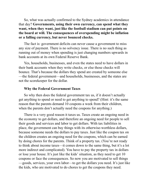So, what was actually confirmed to the Sydney academics in attendance that day? **Governments, using their own currency, can spend what they want, when they want, just like the football stadium can put points on the board at will. The consequences of overspending might be inflation or a falling currency, but never bounced checks.**

The fact is: government deficits can never cause a government to miss any size of payment. There is no solvency issue. There is no such thing as running out of money when spending is just changing numbers upwards in bank accounts at its own Federal Reserve Bank.

Yes, households, businesses, and even the states need to have dollars in their bank accounts when they write checks, or else those checks will bounce. That's because the dollars they spend are created by someone else —the federal government—and households, businesses, and the states are not the scorekeeper for the dollar.

#### **Why the Federal Government Taxes**

So why then does the federal government tax us, if it doesn't actually get anything to spend or need to get anything to spend? (Hint: it's the same reason that the parents demand 10 coupons a week from their children, when the parents don't actually need the coupons for anything.)

There is a very good reason it taxes us. Taxes create an ongoing need in the economy to get dollars, and therefore an ongoing need for people to sell their goods and services and labor to get dollars. With tax liabilities in place, the government can buy things with its otherwise-worthless dollars, because someone needs the dollars to pay taxes. Just like the coupon tax on the children creates an ongoing need for the coupons, which can be earned by doing chores for the parents. Think of a property tax. (You're not ready to think about income taxes—it comes down to the same thing, but it's a lot more indirect and complicated). You have to pay the property tax in dollars or lose your house. It's just like the kids' situation, as they need to get 10 coupons or face the consequences. So now you are motivated to sell things —goods, services, your own labor—to get the dollars you need. It's just like the kids, who are motivated to do chores to get the coupons they need.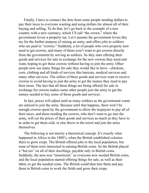Finally, I have to connect the dots from some people needing dollars to pay their taxes to everyone wanting and using dollars for almost all of their buying and selling. To do that, let's go back to the example of a new country with a new currency, which I'll call "the crown," where the government levies a property tax. Let's assume the government levies this tax for the further purpose of raising an army, and offers jobs to soldiers who are paid in "crowns." Suddenly, a lot of people who own property now need to get crowns, and many of them won't want to get crowns directly from the government by serving as soldiers. So they start offering their goods and services for sale in exchange for the new crowns they need and want, hoping to get these crowns without having to join the army. Other people now see many things for sale they would like to have—chickens, corn, clothing and all kinds of services like haircuts, medical services and many other services. The sellers of these goods and services want to receive crowns to avoid having to join the army to get the money they need to pay their taxes. The fact that all these things are being offered for sale in exchange for crowns makes some other people join the army to get the money needed to buy some of those goods and services.

In fact, prices will adjust until as many soldiers as the government wants are enticed to join the army. Because until that happens, there won't be enough crowns spent by the government to allow the taxpayers to pay all of their taxes, and those needing the crowns, who don't want to go into the army, will cut the prices of their goods and services as much as they have to in order to get them sold, or else throw in the towel and join the army themselves.

The following is not merely a theoretical concept. It's exactly what happened in Africa in the 1800's, when the British established colonies there to grow crops. The British offered jobs to the local population, but none of them were interested in earning British coins. So the British placed a "hut tax" on all of their dwellings, payable only in British coins. Suddenly, the area was "monetized," as everyone now needed British coins, and the local population started offering things for sale, as well as their labor, to get the needed coins. The British could then hire them and pay them in British coins to work the fields and grow their crops.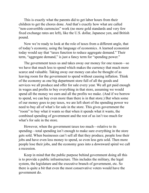This is exactly what the parents did to get labor hours from their children to get the chores done. And that's exactly how what are called "non-convertible currencies" work (no more gold standards and very few fixed exchange rates are left), like the U.S. dollar, Japanese yen, and British pound.

Now we're ready to look at the role of taxes from a different angle, that of today's economy, using the language of economics. A learned economist today would say that "taxes function to reduce aggregate demand." Their term, "aggregate demand," is just a fancy term for "spending power."

The government taxes us and takes away our money for one reason—so we have that much less to spend which makes the currency that much more scarce and valuable. Taking away our money can also be thought of as leaving room for the government to spend without causing inflation. Think of the economy as one big department store full of all the goods and services we all produce and offer for sale every year. We all get paid enough in wages and profits to buy everything in that store, assuming we would spend all the money we earn and all the profits we make. (And if we borrow to spend, we can buy even more than there is in that store.) But when some of our money goes to pay taxes, we are left short of the spending power we need to buy all of what's for sale in the store. This gives government the "room" to buy what it wants so that when it spends what it wants, the combined spending of government and the rest of us isn't too much for what's for sale in the store.

However, when the government taxes too much—relative to its spending—total spending isn't enough to make sure everything in the store gets sold. When businesses can't sell all that they produce, people lose their jobs and have even less money to spend, so even less gets sold. Then more people lose their jobs, and the economy goes into a downward spiral we call a recession.

Keep in mind that the public purpose behind government doing all this is to provide a public infrastructure. This includes the military, the legal system, the legislature and the executive branch of government, etc. So there is quite a bit that even the most conservative voters would have the government do.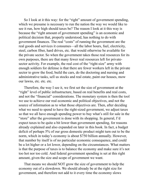So I look at it this way: for the "right" amount of government spending, which we presume is necessary to run the nation the way we would like to see it run, how high should taxes be? The reason I look at it this way is because the "right amount of government spending" is an economic and political decision that, properly understood, has nothing to do with government finances. The real "costs" of running the government are the real goods and services it consumes—all the labor hours, fuel, electricity, steel, carbon fiber, hard drives, etc. that would otherwise be available for the private sector. So when the government takes those real resources for its own purposes, there are that many fewer real resources left for privatesector activity. For example, the real cost of the "right-size" army with enough soldiers for defense is that there are fewer workers left in the private sector to grow the food, build the cars, do the doctoring and nursing and administrative tasks, sell us stocks and real estate, paint our houses, mow our lawns, etc. etc. etc.

Therefore, the way I see it, we first set the size of government at the "right" level of public infrastructure, based on real benefits and real costs, and not the "financial" considerations. The monetary system is then the tool we use to achieve our real economic and political objectives, and not the source of information as to what those objectives are. Then, after deciding what we need to spend to have the right-sized government, we adjust taxes so that we all have enough spending power to buy what's still for sale in the "store" after the government is done with its shopping. In general, I'd expect taxes to be quite a bit lower than government spending, for reasons already explained and also expanded on later in this book. In fact, a budget deficit of perhaps 5% of our gross domestic product might turn out to be the norm, which in today's economy is about \$750 billion annually. However, that number by itself is of no particular economic consequence, and could be a lot higher or a lot lower, depending on the circumstances. What matters is that the purpose of taxes is to balance the economy and make sure it's not too hot nor too cold. And federal government spending is set at this right amount, given the size and scope of government we want.

That means we should NOT grow the size of government to help the economy out of a slowdown. We should already be at the right size for government, and therefore not add to it every time the economy slows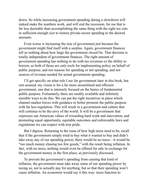down. So while increasing government spending during a slowdown will indeed make the numbers work, and will end the recession, for me that is far less desirable than accomplishing the same thing with the right tax cuts in sufficient-enough size to restore private-sector spending to the desired amounts.

Even worse is increasing the size of government just because the government might find itself with a surplus. Again, government finances tell us nothing about how large the government *should* be. That decision is totally independent of government finances. The right amount of government spending has nothing to do with tax revenues or the ability to borrow, as both of those are only tools for implementing policy on behalf of public purpose, and not reasons for spending or not spending, and not sources of revenue needed for actual government spending.

I'll get specific on what role I see for government later in this book, but rest assured, my vision is for a far more streamlined and efficient government, one that is intensely focused on the basics of fundamental public purpose. Fortunately, there are readily available and infinitely sensible ways to do this. We can put the right incentives in place which channel market forces with guidance to better promote the public purpose with far less regulation. This will result in a government and culture that will continue to be the envy of the world. It will be a government that expresses our American values of rewarding hard work and innovation, and promoting equal opportunity, equitable outcomes and enforceable laws and regulations we can respect with true pride.

But I digress. Returning to the issue of how high taxes need to be, recall that if the government simply tried to buy what it wanted to buy and didn't take away any of our spending power, there would be no taxes—it would be "too much money chasing too few goods," with the result being inflation. In fact, with no taxes, nothing would even be offered for sale in exchange for the government money in the first place, as previously discussed.

To prevent the government's spending from causing that kind of inflation, the government must take away some of our spending power by taxing us, not to actually pay for anything, but so that their spending won't cause inflation. An economist would say it this way: taxes function to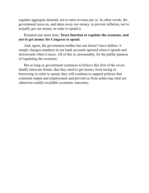regulate aggregate demand, not to raise revenue per se. In other words, the government taxes us, and takes away our money, to prevent inflation, not to actually get our money in order to spend it.

#### Restated one more time: **Taxes function to regulate the economy, and not to get money for Congress to spend**.

And, again, the government neither has nor doesn't have dollars; it simply changes numbers in our bank accounts upward when it spends and downwards when it taxes. All of this is, presumably, for the public purpose of regulating the economy.

But as long as government continues to believe this first of the seven deadly innocent frauds, that they need to get money from taxing or borrowing in order to spend, they will continue to support policies that constrain output and employment and prevent us from achieving what are otherwise readily-available economic outcomes.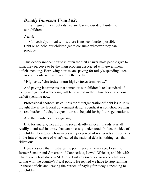# *Deadly Innocent Fraud #2:*

With government deficits, we are leaving our debt burden to our children.

# *Fact:*

Collectively, in real terms, there is no such burden possible. Debt or no debt, our children get to consume whatever they can produce.

This deadly innocent fraud is often the first answer most people give to what they perceive to be the main problem associated with government deficit spending. Borrowing now means paying for today's spending later. Or, as commonly seen and heard in the media:

#### **"Higher deficits today mean higher taxes tomorrow."**

And paying later means that somehow our children's real standard of living and general well-being will be lowered in the future because of our deficit spending now.

Professional economists call this the "intergenerational" debt issue. It is thought that if the federal government deficit spends, it is somehow leaving the real burden of today's expenditures to be paid for by future generations.

And the numbers are staggering!

But, fortunately, like all of the seven deadly innocent frauds, it is all readily dismissed in a way that can be easily understood. In fact, the idea of our children being somehow necessarily deprived of real goods and services in the future because of what's called the national debt is nothing less than ridiculous.

Here's a story that illustrates the point. Several years ago, I ran into former Senator and Governor of Connecticut, Lowell Weicker, and his wife Claudia on a boat dock in St. Croix. I asked Governor Weicker what was wrong with the country's fiscal policy. He replied we have to stop running up these deficits and leaving the burden of paying for today's spending to our children.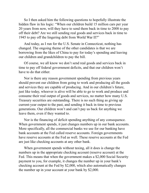So I then asked him the following questions to hopefully illustrate the hidden flaw in his logic: "When our children build 15 million cars per year 20 years from now, will they have to send them back in time to 2008 to pay off their debt? Are we still sending real goods and services back in time to 1945 to pay off the lingering debt from World War II?"

And today, as I run for the U.S. Senate in Connecticut, nothing has changed. The ongoing theme of the other candidates is that we are borrowing from the likes of China to pay for today's spending and leaving our children and grandchildren to pay the bill.

Of course, we all know we don't send real goods and services back in time to pay off federal government deficits, and that our children won't have to do that either.

Nor is there any reason government spending from previous years should prevent our children from going to work and producing all the goods and services they are capable of producing. And in our children's future, just like today, whoever is alive will be able to go to work and produce and consume their real output of goods and services, no matter how many U.S. Treasury securities are outstanding. There is no such thing as giving up current-year output to the past, and sending it back in time to previous generations. Our children won't and can't pay us back for anything we leave them, even if they wanted to.

Nor is the financing of deficit spending anything of any consequence. When government spends, it just changes numbers up in our bank accounts. More specifically, all the commercial banks we use for our banking have bank accounts at the Fed called reserve accounts. Foreign governments have reserve accounts at the Fed as well. These reserve accounts at the Fed are just like checking accounts at any other bank.

When government spends without taxing, all it does is change the numbers up in the appropriate checking account (reserve account) at the Fed. This means that when the government makes a \$2,000 Social Security payment to you, for example, it changes the number up in your bank's checking account at the Fed by \$2,000, which also automatically changes the number up in your account at your bank by \$2,000.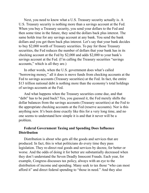Next, you need to know what a U.S. Treasury security actually is. A U.S. Treasury security is nothing more than a savings account at the Fed. When you buy a Treasury security, you send your dollars to the Fed and then some time in the future, they send the dollars back plus interest. The same holds true for any savings account at any bank. You send the bank dollars and you get them back plus interest. Let's say that your bank decides to buy \$2,000 worth of Treasury securities. To pay for those Treasury securities, the Fed reduces the number of dollars that your bank has in its checking account at the Fed by \$2,000 and adds \$2,000 to your bank's savings account at the Fed. (I'm calling the Treasury securities "savings accounts," which is all they are.)

In other words, when the U.S. government does what's called "borrowing money," all it does is move funds from checking accounts at the Fed to savings accounts (Treasury securities) at the Fed. In fact, the entire \$13 trillion national debt is nothing more than the economy's total holdings of savings accounts at the Fed.

And what happens when the Treasury securities come due, and that "debt" has to be paid back? Yes, you guessed it, the Fed merely shifts the dollar balances from the savings accounts (Treasury securities) at the Fed to the appropriate checking accounts at the Fed (reserve accounts). Nor is this anything new. It's been done exactly like this for a very long time, and no one seems to understand how simple it is and that it never will be a problem.

#### **Federal Government Taxing and Spending Does Influence Distribution**

Distribution is about who gets all the goods and services that are produced. In fact, this is what politicians do every time they pass legislation. They re-direct real goods and services by decree, for better or worse. And the odds of doing it for better are substantially decreased when they don't understand the Seven Deadly Innocent Frauds. Each year, for example, Congress discusses tax policy, always with an eye to the distribution of income and spending. Many seek to tax those "who can most afford it" and direct federal spending to "those in need." And they also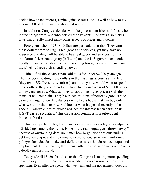decide how to tax interest, capital gains, estates, etc. as well as how to tax income. All of these are distributional issues.

In addition, Congress decides who the government hires and fires, who it buys things from, and who gets direct payments. Congress also makes laws that directly affect many other aspects of prices and incomes.

Foreigners who hold U.S. dollars are particularly at risk. They earn those dollars from selling us real goods and services, yet they have no assurance that they will be able to buy real goods and services from us in the future. Prices could go up (inflation) and the U.S. government could legally impose all kinds of taxes on anything foreigners wish to buy from us, which reduces their spending power.

Think of all those cars Japan sold to us for under \$2,000 years ago. They've been holding those dollars in their savings accounts at the Fed (they own U.S. Treasury securities), and if they now would want to spend those dollars, they would probably have to pay in excess of \$20,000 per car to buy cars from us. What can they do about the higher prices? Call the manager and complain? They've traded millions of perfectly good cars to us in exchange for credit balances on the Fed's books that can buy only what we allow them to buy. And look at what happened recently—the Federal Reserve cut rates, which reduced the interest Japan earns on its U.S.-Treasury securities. (This discussion continues in a subsequent innocent fraud.)

This is all perfectly legal and business as usual, as each year's output is "divided up" among the living. None of the real output gets "thrown away" because of outstanding debt, no matter how large. Nor does outstanding debt reduce output and employment, except of course when ill-informed policymakers decide to take anti-deficit measures that do reduce output and employment. Unfortunately, that is currently the case, and that is why this is a deadly innocent fraud.

Today (April 15, 2010), it's clear that Congress is taking more spending power away from us in taxes than is needed to make room for their own spending. Even after we spend what we want and the government does all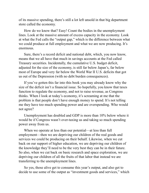of its massive spending, there's still a lot left unsold in that big department store called the economy.

How do we know that? Easy! Count the bodies in the unemployment lines. Look at the massive amount of excess capacity in the economy. Look at what the Fed calls the "output gap," which is the difference between what we could produce at full employment and what we are now producing. It's enormous.

Sure, there's a record deficit and national debt, which, you now know, means that we all have that much in savings accounts at the Fed called Treasury securities. Incidentally, the cumulative U.S. budget deficit, adjusted for the size of the economy, is still far below Japan's, far below most of Europe and very far below the World War II U.S. deficits that got us out of the Depression (with no debt burden consequences).

If you've gotten this far into this book you may already know why the size of the deficit isn't a financial issue. So hopefully, you know that taxes function to regulate the economy, and not to raise revenue, as Congress thinks. When I look at today's economy, it's screaming at me that the problem is that people don't have enough money to spend. It's not telling me they have too much spending power and are overspending. Who would not agree?

Unemployment has doubled and GDP is more than 10% below where it would be if Congress wasn't over-taxing us and taking so much spending power away from us.

When we operate at less than our potential—at less than full employment—then we are depriving our children of the real goods and services we could be producing on their behalf. Likewise, when we cut back on our support of higher education, we are depriving our children of the knowledge they'll need to be the very best they can be in their future. So also, when we cut back on basic research and space exploration, we are depriving our children of all the fruits of that labor that instead we are transferring to the unemployment lines.

So yes, those alive get to consume this year's output, and also get to decide to use some of the output as "investment goods and services," which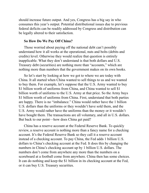should increase future output. And yes, Congress has a big say in who consumes this year's output. Potential distributional issues due to previous federal deficits can be readily addressed by Congress and distribution can be legally altered to their satisfaction.

#### **So How Do We Pay Off China?**

Those worried about paying off the national debt can't possibly understand how it all works at the operational, nuts and bolts (debits and credits) level. Otherwise they would realize that question is entirely inapplicable. What they don't understand is that both dollars and U.S. Treasury debt (securities) are nothing more than "accounts," which are nothing more than numbers that the government makes on its own books.

So let's start by looking at how we got to where we are today with China. It all started when China wanted to sell things to us and we wanted to buy them. For example, let's suppose that the U.S. Army wanted to buy \$1 billion worth of uniforms from China, and China wanted to sell \$1 billion worth of uniforms to the U.S. Army at that price. So the Army buys \$1 billion worth of uniforms from China. First, understand that both parties are happy. There is no "imbalance." China would rather have the 1 billion U.S. dollars than the uniforms or they wouldn't have sold them, and the U.S. Army would rather have the uniforms than the money or it wouldn't have bought them. The transactions are all voluntary, and all in U.S. dollars. But back to our point—how does China get paid?

China has a reserve account at the Federal Reserve Bank. To quickly review, a reserve account is nothing more than a fancy name for a checking account. It's the Federal Reserve Bank so they call it a reserve account instead of a checking account. To pay China, the Fed adds 1 billion U.S. dollars to China's checking account at the Fed. It does this by changing the numbers in China's checking account up by 1 billion U.S. dollars. The numbers don't come from anywhere any more than the numbers on a scoreboard at a football come from anywhere. China then has some choices. It can do nothing and keep the \$1 billion in its checking account at the Fed, or it can buy U.S. Treasury securities.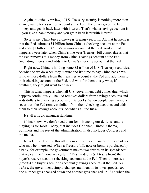Again, to quickly review, a U.S. Treasury security is nothing more than a fancy name for a savings account at the Fed. The buyer gives the Fed money, and gets it back later with interest. That's what a savings account is —you give a bank money and you get it back later with interest.

So let's say China buys a one-year Treasury security. All that happens is that the Fed subtracts \$1 billion from China's checking account at the Fed, and adds \$1 billion to China's savings account at the Fed. And all that happens a year later when China's one-year Treasury bill comes due is that the Fed removes this money from China's savings account at the Fed (including interest) and adds it to China's checking account at the Fed.

Right now, China is holding some \$2 trillion of U.S. Treasury securities. So what do we do when they mature and it's time to pay China back? We remove those dollars from their savings account at the Fed and add them to their checking account at the Fed, and wait for them to say what, if anything, they might want to do next.

This is what happens when all U.S. government debt comes due, which happens continuously. The Fed removes dollars from savings accounts and adds dollars to checking accounts on its books. When people buy Treasury securities, the Fed removes dollars from their checking accounts and adds them to their savings accounts. So what's all the fuss?

It's all a tragic misunderstanding.

China knows we don't need them for "financing our deficits" and is playing us for fools. Today, that includes Geithner, Clinton, Obama, Summers and the rest of the administration. It also includes Congress and the media.

Now let me describe this all in a more technical manner for those of you who may be interested. When a Treasury bill, note or bond is purchased by a bank, for example, the government makes two entries on its spreadsheet that we call the "monetary system." First, it debits (subtracts from) the buyer's reserve account (checking account) at the Fed. Then it increases (credits) the buyer's securities account (savings account) at the Fed. As before, the government simply changes numbers on its own spreadsheet one number gets changed down and another gets changed up. And when the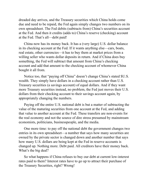dreaded day arrives, and the Treasury securities which China holds come due and need to be repaid, the Fed again simply changes two numbers on its own spreadsheet. The Fed debits (subtracts from) China's securities account at the Fed. And then it credits (adds to) China's reserve (checking) account at the Fed. That's all—debt paid!

China now has its money back. It has a (very large) U.S. dollar balance in its checking account at the Fed. If it wants anything else—cars, boats, real estate, other currencies—it has to buy them at market prices from a willing seller who wants dollar deposits in return. And if China does buy something, the Fed will subtract that amount from China's checking account and add that amount to the checking account of whomever China bought it all from.

Notice too, that "paying off China" doesn't change China's stated \$U.S. wealth. They simply have dollars in a checking account rather than U.S. Treasury securities (a savings account) of equal dollars. And if they want more Treasury securities instead, no problem, the Fed just moves their U.S. dollars from their checking account to their savings account again, by appropriately changing the numbers.

Paying off the entire U.S. national debt is but a matter of subtracting the value of the maturing securities from one account at the Fed, and adding that value to another account at the Fed. These transfers are non-events for the real economy and not the source of dire stress presumed by mainstream economists, politicians, businesspeople, and the media.

One more time: to pay off the national debt the government changes two entries in its own spreadsheet—a number that says how many securities are owned by the private sector is changed down and another number that says how many U.S. dollars are being kept at the Fed in reserve accounts is changed up. Nothing more. Debt paid. All creditors have their money back. What's the big deal?

So what happens if China refuses to buy our debt at current low-interest rates paid to them? Interest rates have to go up to attract their purchase of the Treasury Securities, right? Wrong!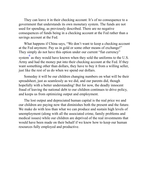They can leave it in their checking account. It's of no consequence to a government that understands its own monetary system. The funds are not used for spending, as previously described. There are no negative consequences of funds being in a checking account at the Fed rather than a savings account at the Fed.

What happens if China says, "We don't want to keep a checking account at the Fed anymore. Pay us in gold or some other means of exchange!" They simply do not have this option under our current "fiat currency" system  $\frac{6}{15}$  $\frac{6}{15}$  $\frac{6}{15}$  as they would have known when they sold the uniforms to the U.S. Army and had the money put into their checking account at the Fed. If they want something other than dollars, they have to buy it from a willing seller, just like the rest of us do when we spend our dollars.

Someday it will be our children changing numbers on what will be their spreadsheet, just as seamlessly as we did, and our parents did, though hopefully with a better understanding! But for now, the deadly innocent fraud of leaving the national debt to our children continues to drive policy, and keeps us from optimizing output and employment.

The lost output and depreciated human capital is the real price we and our children are paying now that diminishes both the present and the future. We make do with less than what we can produce and sustain high levels of unemployment (along with all the associated crime, family problems and medical issues) while our children are deprived of the real investments that would have been made on their behalf if we knew how to keep our human resources fully employed and productive.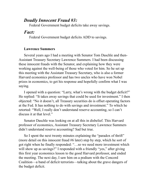# *Deadly Innocent Fraud #3:*

Federal Government budget deficits take away savings.

# *Fact:*

Federal Government budget deficits ADD to savings.

### **Lawrence Summers**

Several years ago I had a meeting with Senator Tom Daschle and then-Assistant Treasury Secretary Lawrence Summers. I had been discussing these innocent frauds with the Senator, and explaining how they were working against the well-being of those who voted for him. So he set up this meeting with the Assistant Treasury Secretary, who is also a former Harvard economics professor and has two uncles who have won Nobel prizes in economics, to get his response and hopefully confirm what I was saying.

I opened with a question: "Larry, what's wrong with the budget deficit?" He replied: "It takes away savings that could be used for investment." I then objected: "No it doesn't, all Treasury securities do is offset operating factors at the Fed. It has nothing to do with savings and investment." To which he retorted: "Well, I really don't understand reserve accounting, so I can't discuss it at that level."

Senator Daschle was looking on at all this in disbelief. This Harvard professor of economics, Assistant Treasury Secretary Lawrence Summers didn't understand reserve accounting? Sad but true.

So I spent the next twenty minutes explaining the "paradox of thrift" (more detail on this innocent fraud #6 later) step by step, which he sort of got right when he finally responded: "…so we need more investment which will show up as savings?" I responded with a friendly "yes," after giving this first year economics lesson to the good Harvard professor, and ended the meeting. The next day, I saw him on a podium with the Concord Coalition—a band of deficit terrorists—talking about the grave dangers of the budget deficit.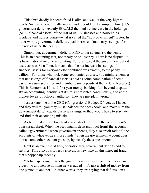This third deadly innocent fraud is alive and well at the very highest levels. So here's how it really works, and it could not be simpler: Any \$U.S. government deficit exactly EQUALS the total net increase in the holdings (\$U.S. financial assets) of the rest of us—businesses and households, residents and nonresidents—what is called the "non-government" sector. In other words, government deficits equal increased "monetary savings" for the rest of us, to the penny.

Simply put, government deficits ADD to our savings (to the penny). This is an accounting fact, not theory or philosophy. There is no dispute. It is basic national income accounting. For example, if the government deficit last year was \$1 trillion, it means that the net increase in savings of financial assets for everyone else combined was exactly, to the penny, \$1 trillion. (For those who took some economics courses, you might remember that net savings of financial assets is held as some combination of actual cash, Treasury securities and member bank deposits at the Federal Reserve.) This is Economics 101 and first year money banking. It is beyond dispute. It's an accounting identity. Yet it's misrepresented continuously, and at the highest levels of political authority. They are just plain wrong.

Just ask anyone at the CBO (Congressional Budget Office), as I have, and they will tell you they must "balance the checkbook" and make sure the government deficit equals our new savings, or they would have to stay late and find their accounting mistake.

As before, it's just a bunch of spreadsheet entries on the government's own spreadsheet. When the accountants debit (subtract from) the account called "government" when government spends, they also credit (add to) the accounts of whoever gets those funds. When the government account goes down, some other account goes up, by exactly the same amount.

Next is an example of how, operationally, government deficits add to savings. This also puts to rest a ridiculous new take on this innocent fraud that's popped up recently:

"Deficit spending means the government borrows from one person and gives it to another, so nothing new is added—it's just a shift of money from one person to another." In other words, they are saying that deficits don't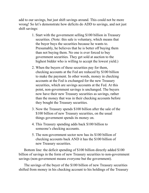add to our savings, but just shift savings around. This could not be more wrong! So let's demonstrate how deficits do ADD to savings, and not just shift savings:

- 1. Start with the government selling \$100 billion in Treasury securities. (Note: this sale is voluntary, which means that the buyer buys the securities because he wants to. Presumably, he believes that he is better off buying them than not buying them. No one is ever forced to buy government securities. They get sold at auction to the highest bidder who is willing to accept the lowest yield.)
- 2. When the buyers of these securities pay for them, checking accounts at the Fed are reduced by \$100 billion to make the payment. In other words, money in checking accounts at the Fed is exchanged for the new Treasury securities, which are savings accounts at the Fed. At this point, non-government savings is unchanged. The buyers now have their new Treasury securities as savings, rather than the money that was in their checking accounts before they bought the Treasury securities.
- 3. Now the Treasury spends \$100 billion after the sale of the \$100 billion of new Treasury securities, on the usual things government spends its money on.
- 4. This Treasury spending adds back \$100 billion to someone's checking accounts.
- 5. The non-government sector now has its \$100 billion of checking accounts back AND it has the \$100 billion of new Treasury securities.

Bottom line: the deficit spending of \$100 billion directly added \$100 billion of savings in the form of new Treasury securities to non-government savings (non-government means everyone but the government).

The savings of the buyer of the \$100 billion of new Treasury securities shifted from money in his checking account to his holdings of the Treasury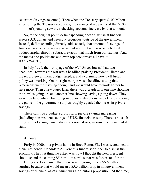securities (savings accounts). Then when the Treasury spent \$100 billion after selling the Treasury securities, the savings of recipients of that \$100 billion of spending saw their checking accounts increase by that amount.

So, to the original point, deficit spending doesn't just shift financial assets (U.S. dollars and Treasury securities) outside of the government. Instead, deficit spending directly adds exactly that amount of savings of financial assets to the non-government sector. And likewise, a federal budget surplus directly subtracts exactly that much from our savings. And the media and politicians and even top economists all have it BACKWARDS!

In July 1999, the front page of the Wall Street Journal had two headlines. Towards the left was a headline praising President Clinton and the record government budget surplus, and explaining how well fiscal policy was working. On the right margin was a headline stating that Americans weren't saving enough and we would have to work harder to save more. Then a few pages later, there was a graph with one line showing the surplus going up, and another line showing savings going down. They were nearly identical, but going in opposite directions, and clearly showing the gains in the government surplus roughly equaled the losses in private savings.

There can't be a budget surplus with private savings increasing (including non-resident savings of \$U.S. financial assets). There is no such thing, yet not a single mainstream economist or government official had it right.

#### **Al Gore**

Early in 2000, in a private home in Boca Raton, FL, I was seated next to then-Presidential Candidate Al Gore at a fundraiser/dinner to discuss the economy. The first thing he asked was how I thought the next president should spend the coming \$5.6 trillion surplus that was forecasted for the next 10 years. I explained that there wasn't going to be a \$5.6 trillion surplus, because that would mean a \$5.6 trillion drop in nongovernment savings of financial assets, which was a ridiculous proposition. At the time,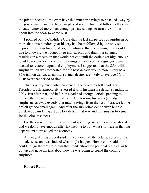the private sector didn't even have that much in savings to be taxed away by the government, and the latest surplus of several hundred billion dollars had already removed more than enough private savings to turn the Clinton boom into the soon-to-come bust.

I pointed out to Candidate Gore that the last six periods of surplus in our more than two hundred-year history had been followed by the only six depressions in our history. Also, I mentioned that the coming bust would be due to allowing the budget to go into surplus and drain our savings, resulting in a recession that would not end until the deficit got high enough to add back our lost income and savings and deliver the aggregate demand needed to restore output and employment. I suggested that the \$5.6 trillion surplus which was forecasted for the next decade would more likely be a \$5.6 trillion deficit, as normal savings desires are likely to average 5% of GDP over that period of time.

That is pretty much what happened. The economy fell apart, and President Bush temporarily reversed it with his massive deficit spending in 2003. But after that, and before we had had enough deficit spending to replace the financial assets lost to the Clinton surplus years (a budget surplus takes away exactly that much savings from the rest of us), we let the deficit get too small again. And after the sub-prime debt-driven bubble burst, we again fell apart due to a deficit that was and remains far too small for the circumstances.

For the current level of government spending, we are being over-taxed and we don't have enough after-tax income to buy what's for sale in that big department store called the economy.

Anyway, Al was a good student, went over all the details, agreeing that it made sense and was indeed what might happen. However, he said he couldn't "go there." I told him that I understood the political realities, as he got up and gave his talk about how he was going to spend the coming surpluses.

### **Robert Rubin**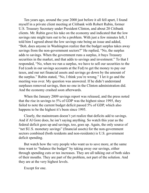Ten years ago, around the year 2000 just before it all fell apart, I found myself in a private client meeting at Citibank with Robert Rubin, former U.S. Treasury Secretary under President Clinton, and about 20 Citibank clients. Mr. Rubin gave his take on the economy and indicated that the low savings rate might turn out to be a problem. With just a few minutes left, I told him I agreed about the low savings rate being an issue and added, "Bob, does anyone in Washington realize that the budget surplus takes away savings from the non-government sectors?" He replied, "No, the surplus adds to savings. When the government runs a surplus, it buys Treasury securities in the market, and that adds to savings and investment." To that I responded, "No, when we run a surplus, we have to sell our securities to the Fed (cash in our savings accounts at the Fed) to get the money to pay our taxes, and our net financial assets and savings go down by the amount of the surplus." Rubin stated, "No, I think you're wrong." I let it go and the meeting was over. My question was answered. If he didn't understand surpluses removed savings, then no one in the Clinton administration did. And the economy crashed soon afterwards.

When the January 2009 savings report was released, and the press noted that the rise in savings to 5% of GDP was the highest since 1995, they failed to note the current budget deficit passed 5% of GDP, which also happens to be the highest it's been since 1995.

Clearly, the mainstream doesn't yet realize that deficits add to savings. And if Al Gore does, he isn't saying anything. So watch this year as the federal deficit goes up and savings, too, goes up. Again, the only source of "net \$U.S. monetary savings" (financial assets) for the non-government sectors combined (both residents and non-residents) is U.S. government deficit spending.

But watch how the very people who want us to save more, at the same time want to "balance the budget" by taking away our savings, either through spending cuts or tax increases. They are all talking out of both sides of their mouths. They are part of the problem, not part of the solution. And they are at the very highest levels.

Except for one.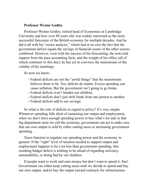### **Professor Wynne Godley**

Professor Wynne Godley, retired head of Economics at Cambridge University and now over 80 years old, was widely renowned as the most successful forecaster of the British economy for multiple decades. And he did it all with his "sector analysis," which had at its core the fact that the government deficit equals the savings of financial assets of the other sectors combined. However, even with the success of his forecasting, the iron-clad support from the pure accounting facts, and the weight of his office (all of which continues to this day), he has yet to convince the mainstream of the validity of his teachings.

So now we know:

- Federal deficits are not the "awful things" that the mainstream believes them to be. Yes, deficits do matter. Excess spending can cause inflation. But the government isn't going to go broke.
- Federal deficits won't burden our children.
- Federal deficits don't just shift funds from one person to another.
- Federal deficits add to our savings.

So what is the role of deficits in regard to policy? It's very simple. Whenever spending falls short of sustaining our output and employment, when we don't have enough spending power to buy what's for sale in that big department store we call the economy, government can act to make sure that our own output is sold by either cutting taxes or increasing government spending.

Taxes function to regulate our spending power and the economy in general. If the "right" level of taxation needed to support output and employment happens to be a lot less than government spending, that resulting budget deficit is nothing to be afraid of regarding solvency, sustainability, or doing bad by our children.

If people want to work and earn money but don't want to spend it, fine! Government can either keep cutting taxes until we decide to spend and buy our own output, and/or buy the output (award contracts for infrastructure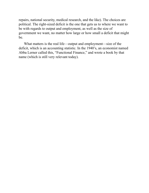repairs, national security, medical research, and the like). The choices are political. The right-sized deficit is the one that gets us to where we want to be with regards to output and employment, as well as the size of government we want, no matter how large or how small a deficit that might be.

What matters is the real life—output and employment—size of the deficit, which is an accounting statistic. In the 1940's, an economist named Abba Lerner called this, "Functional Finance," and wrote a book by that name (which is still very relevant today).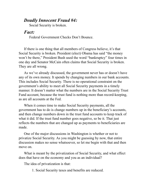# *Deadly Innocent Fraud #4:*

Social Security is broken.

## *Fact:*

Federal Government Checks Don't Bounce.

If there is one thing that all members of Congress believe, it's that Social Security is broken. President (elect) Obama has said "the money won't be there," President Bush used the word "bankruptcy" four times in one day and Senator McCain often claims that Social Security is broken. They are all wrong.

As we've already discussed, the government never has or doesn't have any of its own money. It spends by changing numbers in our bank accounts. This includes Social Security. There is no operational constraint on the government's ability to meet all Social Security payments in a timely manner. It doesn't matter what the numbers are in the Social Security Trust Fund account, because the trust fund is nothing more than record-keeping, as are all accounts at the Fed.

When it comes time to make Social Security payments, all the government has to do is change numbers up in the beneficiary's accounts, and then change numbers down in the trust fund accounts to keep track of what it did. If the trust fund number goes negative, so be it. That just reflects the numbers that are changed up as payments to beneficiaries are made.

One of the major discussions in Washington is whether or not to privatize Social Security. As you might be guessing by now, that entire discussion makes no sense whatsoever, so let me begin with that and then move on.

What is meant by the privatization of Social Security, and what effect does that have on the economy and you as an individual?

The idea of privatization is that:

1. Social Security taxes and benefits are reduced.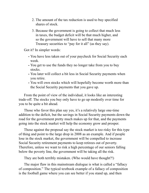- 2. The amount of the tax reduction is used to buy specified shares of stock.
- 3. Because the government is going to collect that much less in taxes, the budget deficit will be that much higher, and so the government will have to sell that many more Treasury securities to "pay for it all" (as they say).

Got it? In simpler words:

- You have less taken out of your paycheck for Social Security each week.
- You get to use the funds they no longer take from you to buy stocks.
- You later will collect a bit less in Social Security payments when you retire.
- You will own stocks which will hopefully become worth more than the Social Security payments that you gave up.

From the point of view of the individual, it looks like an interesting trade-off. The stocks you buy only have to go up modestly over time for you to be quite a bit ahead.

Those who favor this plan say yes, it's a relatively large one-time addition to the deficit, but the savings in Social Security payments down the road for the government pretty much makes up for that, and the payments going into the stock market will help the economy grow and prosper.

Those against the proposal say the stock market is too risky for this type of thing and point to the large drop in 2008 as an example. And if people lose in the stock market, the government will be compelled to increase Social Security retirement payments to keep retirees out of poverty. Therefore, unless we want to risk a high percentage of our seniors falling below the poverty line, the government will be taking all the risk.

They are both terribly mistaken. (Who would have thought?!)

The major flaw in this mainstream dialogue is what is called a "fallacy of composition." The typical textbook example of a fallacy of composition is the football game where you can see better if you stand up, and then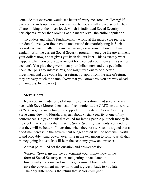conclude that everyone would see better if everyone stood up. Wrong! If everyone stands up, then no one can see better, and all are worse off. They all are looking at the micro level, which is individual Social Security participants, rather than looking at the macro level, the entire population.

To understand what's fundamentally wrong at the macro (big picture, top down) level, you first have to understand that participating in Social Security is functionally the same as buying a government bond. Let me explain. With the current Social Security program, you give the government your dollars now, and it gives you back dollars later. This is exactly what happens when you buy a government bond (or put your money in a savings account). You give the government your dollars now and you get dollars back later plus any interest. Yes, one might turn out to be a better investment and give you a higher return, but apart from the rate of return, they are very much the same. (Now that you know this, you are way ahead of Congress, by the way.)

#### **Steve Moore**

Now you are ready to read about the conversation I had several years back with Steve Moore, then head of economics at the CATO institute, now a CNBC regular and a longtime supporter of privatizing Social Security. Steve came down to Florida to speak about Social Security at one of my conferences. He gave a talk that called for letting people put their money in the stock market rather than making Social Security payments, contending that they will be better off over time when they retire. Also, he argued that a one-time increase in the government budget deficit will be both well worth it and probably "paid down" over time in the expansion to follow, as all that money going into stocks will help the economy grow and prosper.

At that point I led off the question and answer session.

Warren: "Steve, giving the government your money now in the form of Social Security taxes and getting it back later, is functionally the same as buying a government bond, where you give the government money now, and it gives it back to you later. The only difference is the return that seniors will get."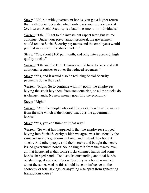Steve: "OK, but with government bonds, you get a higher return than with Social Security, which only pays your money back at 2% interest. Social Security is a bad investment for individuals."

Warren: "OK, I'll get to the investment aspect later, but let me continue. Under your privatization proposal, the government would reduce Social Security payments and the employees would put that money into the stock market."

Steve: "Yes, about \$100 per month, and only into approved, high quality stocks."

Warren: "OK and the U.S. Treasury would have to issue and sell additional securities to cover the reduced revenues."

Steve: "Yes, and it would also be reducing Social Security payments down the road."

Warren: "Right. So to continue with my point, the employees buying the stock buy them from someone else, so all the stocks do is change hands. No new money goes into the economy."

Steve: "Right."

Warren: "And the people who sold the stock then have the money from the sale which is the money that buys the government bonds."

Steve: "Yes, you can think of it that way."

Warren: "So what has happened is that the employees stopped buying into Social Security, which we agree was functionally the same as buying a government bond, and instead they bought stocks. And other people sold their stocks and bought the newlyissued government bonds. So looking at it from the macro level, all that happened is that some stocks changed hands and some bonds changed hands. Total stocks outstanding and total bonds outstanding, if you count Social Security as a bond, remained about the same. And so this should have no influence on the economy or total savings, or anything else apart from generating transactions costs?"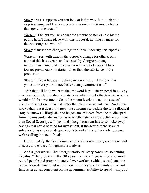Steve: "Yes, I suppose you can look at it that way, but I look at it as privatizing, and I believe people can invest their money better than government can."

Warren: "Ok, but you agree that the amount of stocks held by the public hasn't changed, so with this proposal, nothing changes for the economy as a whole."

Steve: "But it does change things for Social Security participants."

Warren: "Yes, with exactly the opposite change for others. And none of this has even been discussed by Congress or any mainstream economist? It seems you have an ideological bias toward privatization rhetoric, rather than the substance of the proposal."

Steve: "I like it because I believe in privatization. I believe that you can invest your money better than government can."

With that I'll let Steve have the last word here. The proposal in no way changes the number of shares of stock or which stocks the American public would hold for investment. So at the macro level, it is not the case of allowing the nation to "invest better than the government can." And Steve knows that, but it doesn't matter—he continues to peddle the same illogical story he knows is illogical. And he gets no criticism from the media apart from the misguided discussion as to whether stocks are a better investment than Social Security, will the bonds the government has to sell take away savings that could be used for investment, if the government risks its solvency by going even deeper into debt and all the other such nonsense we're calling innocent frauds.

Unfortunately, the deadly innocent frauds continuously compound and obscure any chance for legitimate analysis.

And it gets worse! The 'intergenerational' story continues something like this: "The problem is that 30 years from now there will be a lot more retired people and proportionately fewer workers (which is true), and the Social Security trust fund will run out of money (as if a number in a trust fund is an actual constraint on the government's ability to spend…silly, but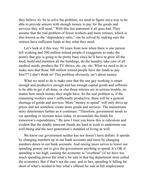they believe it). So to solve the problem, we need to figure out a way to be able to provide seniors with enough money to pay for the goods and services they will need." With this last statement it all goes bad. They assume that the real problem of fewer workers and more retirees, which is also known as the "dependency ratio," can be solved by making sure the retirees have sufficient funds to buy what they need.

Let's look at it this way: 50 years from now when there is one person left working and 300 million retired people (I exaggerate to make the point), that guy is going to be pretty busy since he'll have to grow all the food, build and maintain all the buildings, do the laundry, take care of all medical needs, produce the TV shows, etc. etc. etc. What we need to do is make sure that those 300 million retired people have the funds to pay him??? I don't think so! This problem obviously isn't about money.

What we need to do is make sure that the one guy working is smart enough and productive enough and has enough capital goods and software to be able to get it all done, or else those retirees are in serious trouble, no matter how much money they might have. So the real problem is, if the remaining workers aren't sufficiently productive, there will be a general shortage of goods and services. More "money to spend" will only drive up prices and not somehow create more goods and services. The mainstream story deteriorates further as it continues: "Therefore, government needs to cut spending or increase taxes today, to accumulate the funds for tomorrow's expenditures." By now I trust you know this is ridiculous and evident that the deadly innocent frauds are hard at work to undermine our well-being and the next generation's standard of living as well.

We know our government neither has nor doesn't have dollars. It spends by changing numbers up in our bank accounts and taxes by changing numbers down in our bank accounts. And raising taxes serves to lower our spending power, not to give the government anything to spend. It's OK if spending is too high, causing the economy to "overheat" (if we have too much spending power for what's for sale in that big department store called the economy). But if that's not the case, and in fact, spending is falling far short of what's needed to buy what's offered for sale at full employment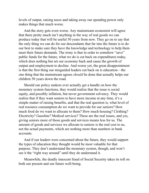levels of output, raising taxes and taking away our spending power only makes things that much worse.

And the story gets even worse. Any mainstream economist will agree that there pretty much isn't anything in the way of real goods we can produce today that will be useful 50 years from now. They go on to say that the only thing we can do for our descendants that far into the future is to do our best to make sure they have the knowledge and technology to help them meet their future demands. The irony is that in order to somehow "save" public funds for the future, what we do is cut back on expenditures today, which does nothing but set our economy back and cause the growth of output and employment to decline. And worse yet, the great disappointment is that the first thing our misguided leaders cut back on is education—the one thing that the mainstream agrees *should* be done that actually helps our children 50 years down the road.

Should our policy makers ever actually get a handle on how the monetary system functions, they would realize that the issue is social equity, and possibly inflation, but never government solvency. They would realize that if they want seniors to have more income at any time, it's a simple matter of raising benefits, and that the real question is, what level of real resource consumption do we want to provide for our seniors? How much food do we want to allocate to them? How much housing? Clothing? Electricity? Gasoline? Medical services? These are the real issues, and yes, giving seniors more of those goods and services means less for us. The amount of goods and services we allocate to seniors is the real cost to us, not the actual payments, which are nothing more than numbers in bank accounts.

And if our leaders were concerned about the future, they would support the types of education they thought would be most valuable for that purpose. They don't understand the monetary system, though, and won't see it the "right way around" until they do understand it.

Meanwhile, the deadly innocent fraud of Social Security takes its toll on both our present and our future well-being.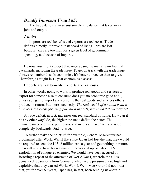# *Deadly Innocent Fraud #5:*

The trade deficit is an unsustainable imbalance that takes away jobs and output.

## *Facts:*

Imports are real benefits and exports are real costs. Trade deficits directly improve our standard of living. Jobs are lost because taxes are too high for a given level of government spending, not because of imports.

By now you might suspect that, once again, the mainstream has it all backwards, including the trade issue. To get on track with the trade issue, always remember this: In economics, it's better to receive than to give. Therefore, as taught in 1st year economics classes:

### **Imports are real benefits. Exports are real costs.**

In other words, going to work to produce real goods and services to export for someone else to consume does you no economic good at all, unless you get to import and consume the real goods and services others produce in return. Put more succinctly: *The real wealth of a nation is all it produces and keeps for itself, plus all it imports, minus what it must export.*

A trade deficit, in fact, increases our real standard of living. How can it be any other way? So, the higher the trade deficit the better. The mainstream economists, politicians, and media all have the trade issue completely backwards. Sad but true.

To further make the point: If, for example, General MacArthur had proclaimed after World War II that since Japan had lost the war, they would be required to send the U.S. 2 million cars a year and get nothing in return, the result would have been a major international uproar about U.S. exploitation of conquered enemies. We would have been accused of fostering a repeat of the aftermath of World War I, wherein the allies demanded reparations from Germany which were presumably so high and exploitive that they caused World War II. Well, MacArthur did not order that, yet for over 60 years, Japan has, in fact, been sending us about 2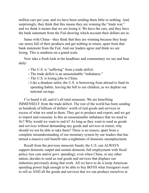million cars per year, and we have been sending them little or nothing. And, surprisingly, they think that this means they are winning the "trade war," and we think it means that we are losing it. We have the cars, and they have the bank statement from the Fed showing which account their dollars are in.

Same with China—they think that they are winning because they keep our stores full of their products and get nothing in return, apart from that bank statement from the Fed. And our leaders agree and think we are losing. This is madness on a grand scale.

Now take a fresh look at the headlines and commentary we see and hear daily:

- The U.S. is "suffering" from a trade deficit.
- The trade deficit is an unsustainable "imbalance."
- The U.S. is losing jobs to China.
- Like a drunken sailor, the U.S. is borrowing from abroad to fund its spending habits, leaving the bill to our children, as we deplete our national savings.

I've heard it all, and it's all total nonsense. We are benefiting IMMENSELY from the trade deficit. The rest of the world has been sending us hundreds of billions of dollars' worth of real goods and services in excess of what we send to them. They get to produce and export, and we get to import and consume. Is this an unsustainable imbalance that we need to fix? Why would we want to end it? As long as they want to send us goods and services without demanding any goods and services in return, why should we not be able to take them? There is no reason, apart from a complete misunderstanding of our monetary system by our leaders that has turned a massive real benefit into a nightmare of domestic unemployment.

Recall from the previous innocent frauds, the U.S. can ALWAYS support domestic output and sustain domestic full employment with fiscal policy (tax cuts and/or govt. spending), even when China, or any other nation, decides to send us real goods and services that displace our industries previously doing that work. All we have to do is keep American spending power high enough to be able to buy BOTH what foreigners want to sell us AND all the goods and services that we can produce ourselves at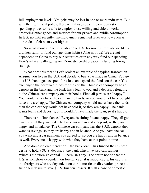full employment levels. Yes, jobs may be lost in one or more industries. But with the right fiscal policy, there will always be sufficient domestic spending power to be able to employ those willing and able to work, producing other goods and services for our private and public consumption. In fact, up until recently, unemployment remained relatively low even as our trade deficit went ever higher.

So what about all the noise about the U.S. borrowing from abroad like a drunken sailor to fund our spending habits? Also not true! We are not dependent on China to buy our securities or in any way fund our spending. Here's what's really going on: Domestic credit creation is funding foreign savings.

What does this mean? Let's look at an example of a typical transaction. Assume you live in the U.S. and decide to buy a car made in China. You go to a U.S. bank, get accepted for a loan and spend the funds on the car. You exchanged the borrowed funds for the car, the Chinese car company has a deposit in the bank and the bank has a loan to you and a deposit belonging to the Chinese car company on their books. First, all parties are "happy." You would rather have the car than the funds, or you would not have bought it, so you are happy. The Chinese car company would rather have the funds than the car, or they would not have sold it, so they are happy. The bank wants loans and deposits, or it wouldn't have made the loan, so it's happy.

There is no "imbalance." Everyone is sitting fat and happy. They all got exactly what they wanted. The bank has a loan and a deposit, so they are happy and in balance. The Chinese car company has the \$U.S. deposit they want as savings, so they are happy and in balance. And you have the car you want and a car payment you agreed to, so you are happy and in balance as well. Everyone is happy with what they have at that point in time.

And domestic credit creation—the bank loan—has funded the Chinese desire to hold a \$U.S. deposit at the bank which we also call savings. Where's the "foreign capital?" There isn't any! The entire notion that the U.S. is somehow dependent on foreign capital is inapplicable. Instead, it's the foreigners who are dependent on our domestic credit creation process to fund their desire to save \$U.S. financial assets. It's all a case of domestic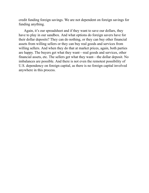credit funding foreign savings. We are not dependent on foreign savings for funding anything.

Again, it's our spreadsheet and if they want to save our dollars, they have to play in our sandbox. And what options do foreign savers have for their dollar deposits? They can do nothing, or they can buy other financial assets from willing sellers or they can buy real goods and services from willing sellers. And when they do that at market prices, again, both parties are happy. The buyers get what they want—real goods and services, other financial assets, etc. The sellers get what they want—the dollar deposit. No imbalances are possible. And there is not even the remotest possibility of U.S. dependency on foreign capital, as there is no foreign capital involved anywhere in this process.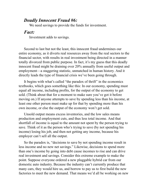# *Deadly Innocent Fraud #6:*

We need savings to provide the funds for investment.

### *Fact:*

Investment adds to savings.

Second to last but not the least, this innocent fraud undermines our entire economy, as it diverts real resources away from the real sectors to the financial sector, with results in real investment being directed in a manner totally divorced from public purpose. In fact, it's my guess that this deadly innocent fraud might be draining over 20% annually from useful output and employment—a staggering statistic, unmatched in human history. And it directly leads the type of financial crisis we've been going through.

It begins with what's called "the paradox of thrift" in the economics textbooks, which goes something like this: In our economy, spending must equal all income, including profits, for the output of the economy to get sold. (Think about that for a moment to make sure you've got it before moving on.) If anyone attempts to save by spending less than his income, at least one other person must make up for that by spending more than his own income, or else the output of the economy won't get sold.

Unsold output means excess inventories, and the low sales means production and employment cuts, and thus less total income. And that shortfall of income is equal to the amount not spent by the person trying to save. Think of it as the person who's trying to save (by not spending his income) losing his job, and then not getting any income, because his employer can't sell all the output.

So the paradox is, "decisions to save by not spending income result in less income and no new net savings." Likewise, decisions to spend more than one's income by going into debt cause incomes to rise and can drive real investment and savings. Consider this extreme example to make the point. Suppose everyone ordered a new pluggable hybrid car from our domestic auto industry. Because the industry can't currently produce that many cars, they would hire us, and borrow to pay us to first build the new factories to meet the new demand. That means we'd all be working on new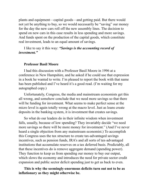plants and equipment—capital goods—and getting paid. But there would not yet be anything to buy, so we would necessarily be "saving" our money for the day the new cars roll off the new assembly lines. The decision to spend on new cars in this case results in less spending and more savings. And funds spent on the production of the capital goods, which constitute real investment, leads to an equal amount of savings.

I like to say it this way: *"Savings is the accounting record of investment."*

#### **Professor Basil Moore**

I had this discussion with a Professor Basil Moore in 1996 at a conference in New Hampshire, and he asked if he could use that expression in a book he wanted to write. I'm pleased to report the book with that name has been published and I've heard it's a good read. (I'm waiting for my autographed copy.)

Unfortunately, Congress, the media and mainstream economists get this all wrong, and somehow conclude that we need more savings so that there will be funding for investment. What seems to make perfect sense at the micro level is again totally wrong at the macro level. Just as loans create deposits in the banking system, it is investment that creates savings.

So what do our leaders do in their infinite wisdom when investment falls, usually, because of low spending? They invariably decide "we need more savings so there will be more money for investment." (And I've never heard a single objection from any mainstream economist.) To accomplish this Congress uses the tax structure to create tax-advantaged savings incentives, such as pension funds, IRA's and all sorts of tax-advantaged institutions that accumulate reserves on a tax deferred basis. Predictably, all that these incentives do is remove aggregate demand (spending power). They function to keep us from spending our money to buy our output, which slows the economy and introduces the need for private sector credit expansion and public sector deficit spending just to get us back to even.

**This is why the seemingly-enormous deficits turn out not to be as inflationary as they might otherwise be.**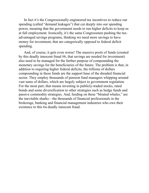In fact it's the Congressionally-engineered tax incentives to reduce our spending (called "demand leakages") that cut deeply into our spending power, meaning that the government needs to run higher deficits to keep us at full employment. Ironically, it's the same Congressmen pushing the taxadvantaged savings programs, thinking we need more savings to have money for investment, that are categorically opposed to federal deficit spending.

And, of course, it gets even worse! The massive pools of funds (created by this deadly innocent fraud #6, that savings are needed for investment) also need to be managed for the further purpose of compounding the monetary savings for the beneficiaries of the future. The problem is that, in addition to requiring higher federal deficits, the trillions of dollars compounding in these funds are the support base of the dreaded financial sector. They employ thousands of pension fund managers whipping around vast sums of dollars, which are largely subject to government regulation. For the most part, that means investing in publicly-traded stocks, rated bonds and some diversification to other strategies such as hedge funds and passive commodity strategies. And, feeding on these "bloated whales," are the inevitable sharks—the thousands of financial professionals in the brokerage, banking and financial management industries who owe their existence to this 6th deadly innocent fraud.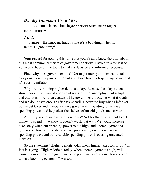# *Deadly Innocent Fraud #7:*

It's a bad thing that higher deficits today mean higher taxes tomorrow.

## *Fact:*

I agree—the innocent fraud is that it's a bad thing, when in fact it's a good thing!!!

Your reward for getting this far is that you already know the truth about this most common criticism of government deficits. I saved this for last so you would have all the tools to make a decisive and informed response.

First, why does government tax? Not to get money, but instead to take away our spending power if it thinks we have too much spending power and it's causing inflation.

Why are we running higher deficits today? Because the "department store" has a lot of unsold goods and services in it, unemployment is high and output is lower than capacity. The government is buying what it wants and we don't have enough after-tax spending power to buy what's left over. So we cut taxes and maybe increase government spending to increase spending power and help clear the shelves of unsold goods and services.

And why would we ever increase taxes? Not for the government to get money to spend—we know it doesn't work that way. We would increase taxes only when our spending power is too high, and unemployment has gotten very low, and the shelves have gone empty due to our excess spending power, and our available spending power is causing unwanted inflation.

So the statement "Higher deficits today mean higher taxes tomorrow" in fact is saying, "Higher deficits today, when unemployment is high, will cause unemployment to go down to the point we need to raise taxes to cool down a booming economy." Agreed!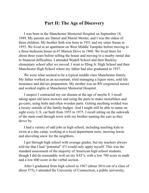# **Part II: The Age of Discovery**

I was born in the Manchester Memorial Hospital on September 18, 1949. My parents are Daniel and Muriel Mosler, and I was the oldest of three children. My brother Seth was born in 1951 and my sister Susan in 1955. We lived in an apartment on West Middle Turnpike before moving to a three-bedroom house at 47 Marion Drive in 1960. We lived there for about three years before selling the house and moving to a nearby rental due to financial difficulties. I attended Wadell School and then Buckley elementary school after we moved. I went to Illing Jr. High School and then Manchester High School where my father had also graduated in 1937.

We were what seemed to be a typical middle class Manchester family. My father worked as an accountant, tried managing a liquor store, sold life insurance and did tax preparation. My mother was an RN (registered nurse) and worked nights at Manchester Memorial Hospital.

I suspect I contracted my car disease at the age of maybe 8. I recall taking apart old lawn mowers and using the parts to make motorbikes and go-carts, using bolts and often wooden parts. Getting anything welded was a luxury outside of the family budget. And I might still be able to name on sight every U.S. car built from 1955 to 1975. I recall sitting on the sidewalk of the main road through town with my brother naming the cars as they drove by.

I had a variety of odd jobs in high school, including teaching kids to swim at a day camp, working at a local department store, mowing lawns and shoveling snow for the neighbors.

I got through high school with average grades, but my teachers always told me that I had "potential" if I would only apply myself. This was the standard assessment of the majority of American high school students, though I did do reasonably well on my SAT's, with a low 700 score in math and a low 600 score in the verbal section.

After I graduated from high school in 1967 (about 30TH out of a class of about 575), I attended the University of Connecticut, a public university,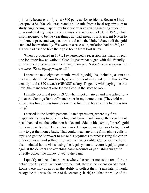primarily because it only cost \$300 per year for residents. Because I had accepted a \$1,000 scholarship and a slide rule from a local organization to study engineering, I spent my first two years as an engineering student. I then switched my major to economics, and received a B.A. in 1971, which also happened to be the year things got bad enough for President Nixon to implement price and wage controls and take the United States off the gold standard internationally. We were in a recession, inflation had hit 3%, and France had tried to take their gold home from Fort Knox.

When I graduated in 1971, I experienced a recession first hand. I recall one job interview at National Cash Register that began with this friendly but resigned greeting from the hiring manager: *"I don't know why you and I are here. We're laying people off."*

I spent the next eighteen months working odd jobs, including a stint as a pool attendant in Miami Beach, where I put out mats and umbrellas for 25 cent tips and a \$20 a week (GROSS) salary. To get by with paying me that little, the management also let me sleep in the storage room.

I finally got a real job in 1973, when I got a haircut and re-applied for a job at the Savings Bank of Manchester in my home town. (They told me after I was hired I was turned down the first time because my hair was too long.)

I started in the bank's personal loan department, where my first responsibility was to collect delinquent loans. Paul Coupe, the department head, handed me the collection books and added with a smile, "there's gold in them there books." Once a loan was delinquent, my job was to figure out how to get the money back. That could mean anything from phone calls to trying to get the borrower to make his payments to repossessing the car or other collateral and selling it for as much as possible. Collection methods also included home visits, using the legal system to secure legal judgments against the debtors and attaching bank accounts or garnishing wages to directly collect the money owed to the bank.

I quickly realized that this was where the rubber meets the road for the entire credit system. Without enforcement, there is no extension of credit. Loans were only as good as the ability to collect them. Years later, I would recognize this was also true of the currency itself, and that the value of the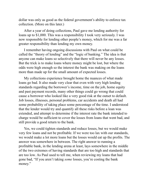dollar was only as good as the federal government's ability to enforce tax collection. (More on this later.)

After a year of doing collections, Paul gave me lending authority for loans up to \$1,000. This was a responsibility I took very seriously. I was now responsible for lending other people's money, which for me was a far greater responsibility than lending my own money.

I remember having ongoing discussions with Paul on what could be called the "theory of lending" and the "logic of banking." The idea is that anyone can make loans so selectively that there will never be any losses. But the trick is to make loans where money might be lost, but where the odds were high enough so the interest the bank was making on the loans more than made up for the small amount of expected losses.

My collections experience brought home the nuances of what made loans go bad. It also made very clear that even with very high lending standards regarding the borrower's income, time on the job, home equity and past payment records, many other things could go wrong that could cause a borrower who looked like a very good risk at the outset to default. Job losses, illnesses, personal problems, car accidents and death all had some probability of taking place some percentage of the time. I understood that the lender would try and quantify all these risks before a loan was extended, and attempt to determine if the interest rate the bank intended to charge would be sufficient to cover the losses from loans that went bad, and still provide a good return to the bank.

Yes, we could tighten standards and reduce losses, but we would make very few loans and not be profitable. If we were too lax with our standards, we would make a lot more loans but the losses would eat up the profits. The answer was somewhere in between. The right answer to running a profitable bank, in the lending arena at least, lays somewhere in the middle of the two extremes of having standards that are too high and standards that are too low. As Paul used to tell me, when reviewing my loans that had gone bad, "If you aren't taking *some* losses, you're costing the bank money."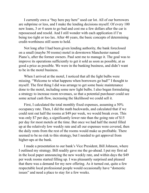I currently own a "buy here pay here" used car lot. All of our borrowers are subprime or less, and I make the lending decisions myself. Of every 100 new loans, 3 or 4 seem to go bad and cost me a few dollars after the car is repossessed and resold. And I still wonder with each application if I'm being too tight or too lax. After 40 years, the basic concepts of determining credit-worthiness still seem to hold.

Not long after I had been given lending authority, the bank foreclosed on a small (maybe 50 rooms) motel in downtown Manchester named Piano's, after the former owners. Paul sent me to manage it. The goal was to improve its operations sufficiently to get it sold as soon as possible, at as good a price as possible. We were in the banking business, and didn't want to be in the motel business.

When I arrived at the motel, I noticed that all the light bulbs were missing. "Welcome to what happens when borrowers go bad!" I thought to myself. The first thing I did was arrange to get some basic maintenance done to the motel, including some new light bulbs. I also began formulating a strategy to increase room revenues, so that a potential purchaser could see some actual cash flow, increasing the likelihood we could sell it.

First, I calculated the total monthly fixed expenses, assuming a 50% occupancy rate. Then, I did the math backwards, and calculated that if we could rent out half the rooms at \$49 per week, we would break even. This was only \$7 per day, a significantly lower rate than the going rate of \$15 per day for most motels at the time. But once we had half the motel filled up at the relatively low weekly rate and all our expenses were covered, then the daily rents from the rest of the rooms would make us profitable. There seemed to be no risk to this strategy, but I needed to get approval from higher-ups at the bank.

I made a presentation to our bank's Vice President, Bill Johnson, where I outlined my strategy. Bill readily gave me the go-ahead. I put my first ad in the local paper announcing the new weekly rate, and within days the \$49 per week rooms started filling up. I was pleasantly surprised and pleased that there was a demand for my new offering. As it turned out, quite a few respectable local professional people would occasionally have "domestic issues" and need a place to stay for a few weeks.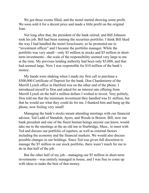We got those rooms filled, and the motel started showing some profit. We soon sold it for a decent price and made a little profit on the original loan.

Not long after that, the president of the bank retired, and Bill Johnson took his job. Bill had been running the securities portfolio. I think Bill liked the way I had handled the motel foreclosure, so he promoted me to "investment officer" and I became the portfolio manager. While the portfolio was very small—only \$5 million in stocks and \$5 million in shortterm investments—the scale of the responsibility seemed very large to me at the time. My previous lending authority had been only \$5,000, and that had seemed large. Now I was responsible for \$10 million of the bank's money.

My hands were shaking when I made my first call to purchase a \$500,000 Certificate of Deposit for the bank. Don Chardenierre of the Merrill Lynch office in Hartford was on the other end of the phone. I introduced myself to Don and asked for an interest rate offering from Merrill Lynch on the half a million dollars I wished to invest. Very politely, Don told me that the minimum investment they handled was \$1 million, but that he would see what they could do for me. I thanked him and hung up the phone, now feeling very small!

Managing the bank's stocks meant attending meetings with our financial advisor, Ted Ladd of Standish, Ayers, and Woods in Boston. Bill, now our bank president and one of the finest human beings anyone can know, would take me to the meetings at the an old inn in Sturbridge, Mass., to meet with Ted and discuss our portfolio of equities, as well as external factors including the economy and the financial markets. We would also discuss possible changes in our holdings. Since Ted was given full discretion to manage the \$5 million in our stock portfolio, there wasn't much for me to do in that half of the job.

But the other half of my job—managing our \$5 million in short-term investments—was entirely managed in house, and I was free to come up with ideas to make the best of that money.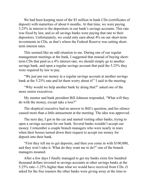We had been keeping most of the \$5 million in bank CDs (certificates of deposit) with maturities of about 6 months. At that time, we were paying 5.25% in interest to the depositors in our bank's savings accounts. This rate was fixed by law, and so all savings banks were paying that rate to their depositors. Unfortunately, we could only earn about 4% on our short-term investments in CDs, as that's where the Federal Reserve was setting shortterm interest rates.

This seemed like an odd situation to me. During one of our regular management meetings at the bank, I suggested that instead of buying shortterm CDs that paid us a 4% interest rate, we should simply go to another savings bank, and open a regular savings account that paid the 5.25% they were required by law to pay.

"We just put our money in a regular savings account at another savings bank at the 5.25% rate and let them worry about it!" I said in the meeting.

"Why would we help another bank by doing that?" asked one of the more senior executives.

My mentor and bank president Bill Johnson responded, "What will they do with the money, except take a loss?"

The skeptical executive had no answer to Bill's question, and his silence caused more than a little amusement at the meeting. The idea was approved.

The next day, I got in the car and started visiting other banks, trying to open a savings account for our bank. Several banks wouldn't accept our money. I remember a couple branch managers who were nearly in tears when their bosses turned down their request to accept our money for deposit into their bank.

"First they tell me to get deposits, and then you come in with \$100,000, and they won't take it. What do they want me to do?" one of the branch managers moaned.

After a few days I finally managed to get my banks extra few hundred thousand dollars invested in savings accounts at other savings banks at the 5.25% rate--1.25% higher than what we would have received from CDs. (I asked for the free toasters the other banks were giving away at the time to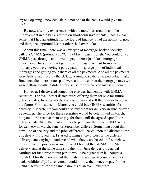anyone opening a new deposit, but not one of the banks would give me one!)

By now, after my experiences with the motel turnaround, and the improvement in the bank's return on short-term investments, I had a clear sense that I had an aptitude for the logic of finance. I had the ability to, now and then, see opportunities that others had overlooked.

About this time, there was a new type of mortgage-backed security, called a GNMA (pronounced "Ginny May") pass through. You could buy a GNMA pass through, and it would pay interest just like a mortgage investment. But you weren't getting a mortgage payment from a single property; you were buying a participation in a large pool of individual mortgages and getting your share of all the payments. And all the payments were fully guaranteed by the U.S. government, so there was no default risk. But, since the interest rates paid were a lot lower than the mortgage rates we were getting locally, it didn't make sense for our bank to invest in them.

However, I discovered something else was happening with GNMA securities. The Wall Street dealers were offering them for sale for future delivery dates. In other words, you could buy and sell them for delivery in the future. For instance, in March you could buy GNMA securities for delivery in March, but you could also buy them for delivery in June or even September. The price for these securities would be determined in March, but you didn't receive them or pay for them until the agreed-upon future delivery date. Also, the market prices to purchase the same GNMA security for delivery in March, June, or September differed. Something about this new kind of security and the price differential based upon the different time of delivery intrigued me. I started looking at the prices for the different delivery dates, trying to understand what they were based on. I somehow noticed that the prices were such that if I bought the GNMA's for March delivery, and at the same time sold them for June delivery, my actual earnings for that three month period would be higher than if I bought a 3 month CD for the bank, or put the funds in a savings account at another bank. Additionally, I discovered I could borrow the money to pay for the GNMA securities for the same 3 months at an even lower rate.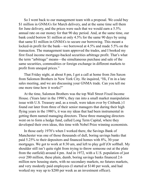So I went back to our management team with a proposal. We could buy \$1 million in GNMA's for March delivery, and at the same time sell them for June delivery, and the prices were such that we would earn a 5.5% annual rate on our money for that 90 day period. And, at the same time, our bank could borrow \$1 million at only 4.5% for the same 90 days by using that same \$1 million in GNMA's to secure our borrowing. This meant a locked-in profit for the bank—we borrowed at 4.5% and made 5.5% on the transaction. The management team approved the trades, and I booked my first fixed income mortgage-backed securities arbitrage profit. That's what the term "arbitrage" means—the simultaneous purchase and sale of the same securities, commodities or foreign exchange in different markets to profit from unequal prices."

That Friday night, at about 8 pm, I got a call at home from Jim Saxon from Salomon Brothers in New York City. He inquired, "Hi, I'm in a late sales meeting, and we are discussing your GNMA trade. Can you tell me one more time how it works?"

At the time, Salomon Brothers was the top Wall Street Fixed Income House. (Years later in the 1990's, they ran into a small market manipulation issue with U.S. Treasury and, as a result, were taken over by Citibank.) I found out later from three of their senior managers that during their high flying years in the 1980's, it was my ideas that had been instrumental in getting them named managing directors. These three managing directors went on to form a hedge fund, called Long Term Capital, where they developed their own ideas, this time with Nobel Prize winning economists.

In those early 1970's when I worked there, the Savings Bank of Manchester was one of those thousands of dull, boring savings banks that paid 5.25% to their depositors and financed homes with 8%, 30-year mortgages. We got to work at 8:30 am, and left to play golf (Or softball. My shoulder still isn't quite right from trying to throw someone out at the plate from the outfield) around 4 pm. And in 1972, with a U.S. population of just over 200 million, these plain, dumb, boring savings banks financed 2.6 million new housing starts, with no secondary markets, no futures markets, and very modestly paid employees (I started at \$140 per week, and had worked my way up to \$200 per week as an investment officer).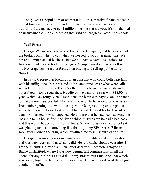Today, with a population of over 300 million, a massive financial sector, untold financial innovations, and unlimited financial resources and liquidity, if we manage to get 2 million housing starts a year, it's proclaimed an unsustainable bubble. More on that kind of "progress" later in this book.

#### **Wall Street**

George Weisse was a broker at Bache and Company, and he was one of the brokers on my list to call when we needed to do any transactions. We never did much actual business, but we did have several discussions of financial markets and trading strategies. George was doing very well with his brokerage business that focused on buying and selling public utility stocks.

In 1975, George was looking for an assistant who could both help him with his utility stock business and at the same time cover what were called second tier institutions for Bache's other products, including bonds and other fixed income securities. He offered me a starting salary of \$15,000 a year, which was roughly 50% more than the bank was paying, and a chance to make more if successful. That year, I joined Bache as George's assistant. I remember getting into work one day with George talking on the phone while lying on the floor. I asked what happened. He said his back went out again. So I asked how it happened. He told me that he had been carrying big rocks up to his house from the river behind it. Turns out he had a bad back and this would happen on a regular basis. When it wasn't carrying rocks it was playing tennis or something like that. I got my SEC Series 7 license soon after I joined the firm, which qualified me to sell securities for life.

George was making serious money with his institutional equity sales, and was very, very good at what he did. He left Bache about a year after I got there, cutting himself a much better deal with Shearson. I stayed at Bache in Hartford, where I was now getting full commissions on all the clients for any business I could do. In my first month I made \$5,000 which was a very high number for me. It was 1976. Life was good. And then I got another job offer.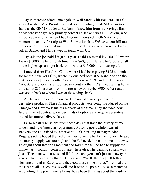Jay Pomerenze offered me a job on Wall Street with Bankers Trust Co. as an Assistant Vice President of Sales and Trading of GNMA securities. Jay was the GNMA trader at Bankers. I knew him from my Savings Bank of Manchester days. My primary contact at Bankers was Bill Lovern, who introduced me to Jay when I had become interested in GNMA's. Most memorable on my first trip to Wall St. was lunch at *Kabuki* where Bill took me for a new thing called sushi. Bill left Bankers for Weeden while I was still at Bache, and I had stayed in touch with Jay.

Jay said the job paid \$30,000 a year. I said I was making \$60,000 where I was (\$5,000 the first month times  $12 = $60,000$ ). He said he'd go and talk to the higher-ups and got back to me with a \$45,000 offer. I accepted.

I moved from Hartford, Conn. where I had been paying \$125 a month for rent to New York City, where my one bedroom at 80th and York on the 20th floor was \$525 a month. Federal taxes were 50%, and in New York City, state and local taxes took away about another 20%. I was taking home only about \$350 a week from my gross pay of maybe \$900. After rent, I was about back to where I was at the savings bank.

At Bankers, Jay and I pioneered the use of a variety of the new derivative products. These financial products were being introduced on the Chicago and New York futures markets at the time. They included new futures market contracts, various kinds of options and regular securities traded for future delivery dates.

I also recall discussions from those days that trace the history of my understanding of monetary operations. At some point while I was at Bankers, the Fed raised the reserve ratio. Our trading manager, Alan Rogers, said he hoped the Fed didn't just give the banks the money. He said the money supply was too high and the Fed needed to take some of it away. I thought about that for a moment and told him the Fed had to supply the money, as it couldn't come from anywhere else. The banking system was just a T account with assets and liabilities, and you can't just take away the assets. There is no such thing. He then said, "Well, there's \$300 billion sloshing around in Europe, and they could use some of that." I replied that those were all T accounts as well and it wasn't a possibility, as a matter of accounting. The point here is I must have been thinking about that quite a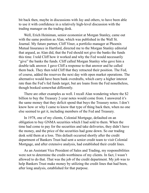bit back then, maybe in discussions with Jay and others, to have been able to use it with confidence in a relatively high-level discussion with the trading manager on the trading desk.

Well, Erich Heiniman, senior economist at Morgan Stanley, came out with the same position as Alan, which was published in the Wall St. Journal. My future partner, Cliff Viner, a portfolio manager at Phoenix Mutual Insurance in Hartford, directed me to the Morgan Stanley editorial that argued, as Alan did, that the Fed should not give the banks the funds this time. I told Cliff how it worked and why the Fed would necessarily "give" the banks the funds. Cliff called Morgan Stanley who gave him a double talk answer. I gave Cliff a response to that answer and he called them back. They then told Cliff that they retracted their position. The Fed, of course, added the reserves the next day with open market operations. The alternative would have been bank overdrafts, which carry a higher interest rate than the Fed's fed funds target, but are loans from the Fed nonetheless, though booked somewhat differently.

There are other examples as well. I recall Alan wondering where the \$2 billion to buy the Treasury 2-year notes would come from. I answered it's the same money that they deficit spend that buys the Treasury notes. I don't know how or why I came to know that type of thing back then, when no one else seemed to get it, including members of the Fed and Treasury.

In 1978, one of my clients, Colonial Mortgage, defaulted on an obligation to buy GNMA securities which I had sold to them. When the time had come to pay for the securities and take deliveries, they didn't have the money, and the price of the securities had gone down. So our trading desk sold them at a loss. This default occurred shortly after the credit department of Bankers Trust had sent a senior credit team to visit Colonial Mortgage, and after extensive analysis, had established their credit lines.

As an Assistant Vice President of Sales and Trading, my responsibilities were not to determine the credit-worthiness of my clients. In fact, I wasn't allowed to do that. That was the job of the credit department. My job was to help Bankers Trust make money by utilizing the credit lines that had been, after long analysis, established for that purpose.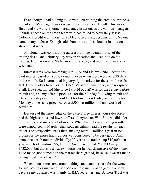Even though I had nothing to do with determining the credit-worthiness of Colonial Mortgage, I was assigned blame for their default. This was a first-hand view of corporate bureaucracy in action, as the various managers, including those on the credit team who had failed to accurately assess Colonial's credit worthiness, scrambled to avoid any responsibility. No one came to my defense. Enough said about this up-close look at institutional structure at work.

All along I was contributing quite a bit to the overall profits of the trading desk. One February, Jay was on vacation and I sat in to do the trading. February was a 28-day month that year, and month end was on a weekend.

Interest rates were something like 12%, and I knew GNMA securities paid interest based on a 30-day month even when there were only 28 days in the month. So I started making very tight markets for the sales force. In fact, I would offer to buy or sell GNMA's at the same price, with no spread at all. However, my bid (the price I would buy at) was for the Friday before month end, and my offered price was for the Monday following month end. The extra 2 days interest I would get for buying on Friday and selling for Monday at the same price was over \$500 per million dollars' worth of securities.

Because of the knowledge of the 2 days' free interest, our sales force had the highest bids and lowest offers of anyone on Wall St.—we did a lot of business, and made a lot of money. When the February trading results were announced in March, Alan Rodgers calmly read the results for each trader. For perspective, back then, making over \$1 million a year in total profits for the entire trading floor was considered to be very good. Alan announced each trader individually: "2-year note trader—up \$10,000, tenyear note trader—down \$5,000…." And then he said: "GNMA—up \$432,000, but that's just "carry." Turns out he was dismissive of the money I had made (not to mention the market share gained) because it wasn't made taking "real market risk."

When bonus time came around, things took another turn for the worse for me. My sales manager, Rich Molere, told me I wasn't getting a bonus because my business was mainly GNMA securities, and Bankers Trust was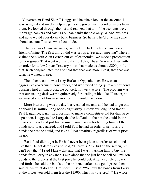a "Government Bond Shop." I suggested he take a look at the accounts I was assigned and maybe help me get some government bond business from them. He looked through the list and realized that all of the accounts were mortgage bankers and savings & loan banks that did only GNMA business and none would ever do any bond business. So he said he'd give me some "bond accounts" to see what I could do.

The first was Chase Advisors, run by Bill Burke, who became a good friend of mine. The first thing I did was set up a "research meeting" where I visited them with Alan Lerner, our chief economist. We made a presentation to their group. That went well, and the next day, Chase "rewarded" us with an order for a few 2-year Treasury notes that made us about a \$200 profit, if that. Rich congratulated me and said that that was more like it, that that was what he wanted to see.

The other account was Larry Burke at Oppenheimer. He was an aggressive government bond trader, and we started doing quite a bit of bond business (not all that profitable but certainly very active). The problem was that our trading desk wasn't quite ready for dealing with a "real" trader, so we missed a lot of business another firm would have done.

More interesting was the day Larry called me and said he had to get out of about \$10 million long bonds right away. I knew our long bond trader, Paul Lagrande, wasn't in a position to make a competitive bid for that large a position. I suggested to Larry that he let Paul do the best he could in the broker's market and just take a small commission for helping him get the bonds sold. Larry agreed, and I told Paul he had an order to sell Larry's bonds the best he could, and take a \$1500 markup, regardless of what price he got.

Well, Paul didn't get it. He had never been given an order to sell bonds like that. He got defensive and said, "There's a 99  $\frac{1}{2}$  bid on the screen, but I can't pay that." I said I knew that and that I wasn't asking him to buy the bonds from Larry in advance. I explained that he just had to sell \$10 million bonds to the brokers at the best price he could get. After a couple of back and forths, he sold the bonds to the brokers markets at a good price, then said "Now what do I do? I'm short!" I said, "You buy the bonds from Larry at the prices you sold them less the \$1500, which is your profit." He wrote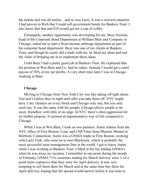the tickets and was all smiles…and so was Larry. It was a win/win situation. I had proven to Rich that I could sell government bonds for Bankers Trust. I also knew that that and \$10 would get me a cup of coffee.

Fortunately, another opportunity was developing for me. Buzz Newton, head of the Corporate Bond Department at William Blair and Company in Chicago, asked me to start a fixed income arbitrage department as part of his corporate bond department. Buzz was one of my clients at Bankers Trust, and though he rarely did a trade with me, he liked my ideas and saw the value of bringing me in to implement those ideas.

I told Buzz I had a pretty good job at Bankers Trust. He explained that the position at Wm Blair and Co. had no salary. Instead, I would get a retail payout of 30% of my net profits. A very short time later I was in Chicago working at Blair.

### **Chicago**

Moving to Chicago from New York City was like taking off tight shoes. You don't realize they're tight until after you take them off. NYC might have 5 dry cleaners on every block and Chicago only one, but you only need one. It was the same with the people. Chicago allows people to be nicer, friendlier, with little or no edge. In NYC there's often aggression for no further purpose. It seemed an argumentative way of life compared to Chicago.

While I was at Wm Blair, I took on two partners: Justin Adams from the NYC office of First Boston, Corp. and Cliff Viner from Phoenix Mutual in Hartford, Connecticut. Justin was a GNMA trader at First Boston, working with Larry Fink, who went on to start Blackrock, which is probably the most successful asset management firm in the world. I got to know Justin while I was working at Bankers Trust. I filled in for Jay trading GNMA's when he was away on vacation. I remember at one point during the month of February, GNMA  $\frac{81}{4}\%$  securities trading for March delivery were  $\frac{3}{4}$  of a point more expensive than they were for April delivery. It was very tempting to sell them short for March and at the same time buy them for April delivery, hoping that the spread would narrow before it was time to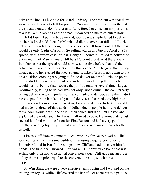deliver the bonds I had sold for March delivery. The problem was that there were only a few weeks left for prices to "normalize" and there was the risk the spread would widen further and I'd be forced to close out my positions at a loss. While looking at the spread, it dawned on me to calculate how much I'd lose if I put the trade on and, worst case, simply failed to deliver the bonds I had sold short for March and didn't cover that fail until I took delivery of bonds I had bought for April delivery. It turned out that the loss would be only 5/8ths of a point. So selling March and buying April at a  $\frac{3}{4}$ spread, with a 'worst case' of losing only 5/8 points if I failed to deliver the entire month of March, would still be a 1/8 point profit. And there was a fair chance that the spread would narrow some time before that and the actual profit would be larger. So I took this idea to Alan Rogers, the trading manager, and he rejected the idea, saying "Bankers Trust is not going to put on a position knowing it's going to fail to deliver on time." I tried to point out I didn't know we would fail, and in fact, I was hoping the spreads would narrow before that because the profit would be several times larger. Additionally, failing to deliver was not only "not a crime," the counterparty taking delivery actually preferred that you failed to deliver, as he then didn't have to pay for the bonds until you did deliver, and earned very high rates of interest on his money while waiting for you to deliver. In fact, Jay and I had made hundreds of thousands of dollars due to people failing to deliver to us. Alan would hear none of it. I then called Justin at First Boston and explained the trade, and why I wasn't allowed to do it. He immediately put several hundred million of it on for First Boston and had a very good month, providing liquidity for real investors and narrower spreads for them as well.

I knew Cliff from my time at Bache working for George Weiss. Cliff worked upstairs in the same building, managing 5 equity portfolios for Phoenix Mutual in Hartford. George knew Cliff and had me cover him for bonds. The first idea I showed Cliff was a UTC convertible bond that was selling only 1/32 above its actual conversion value. Cliff gave me an order to buy them at a price equal to the conversion value, which never did happen.

At Wm Blair, we were a very effective team. Justin and I worked on the trading strategies, while Cliff covered the handful of accounts that paid us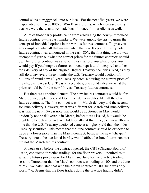commissions to piggyback onto our ideas. For the next five years, we were responsible for maybe 80% of Wm Blair's profits, which increased every year we were there, and we made lots of money for our clients as well.

A lot of those early profits came from arbitraging the newly-introduced futures contracts—the cash markets. We were among the first to grasp the concept of imbedded options in the various futures contracts. To give you an example of what all that means, when the new 10-year Treasury note futures contract was announced in the early 80's, the first thing we did was attempt to figure out what the correct prices for the futures contracts should be. The futures contract was a set of rules that told you what prices you would pay if you bought a futures contract, kept it until it expired and then took delivery of any of the eligible 10-year Treasury securities. And, as they still do today, every three months the U.S. Treasury would auction off billions of brand new 10-year Treasury notes. Knowing the current price of the eligible 10-year U.S. Treasury securities, one could calculate what the prices should be for the new 10- year Treasury futures contracts.

But there was another element. The new futures contracts would be for March, June, September, and December delivery dates, like all the other futures contracts. The first contract was for March delivery and the second for June delivery. However, what was different for March and June delivery was that the new 10-year note that would be auctioned in May would obviously not be deliverable in March, before it was issued, but would be eligible to be delivered in June. Additionally, at that time, each new 10-year note that the U.S. Treasury auctioned came at a higher yield than the older Treasury securities. This meant that the June contract should be expected to trade at a lower price than the March contract, because the new "cheaper" Treasury note to be auctioned in May would affect the June futures contract but not the March futures contract.

A week or so before the contract opened, the CBT (Chicago Board of Trade) conducted "practice trading" for the floor brokers. I inquired as to what the futures prices were for March and June for the practice trading session. Turned out that the March contract was trading at 100, and the June at  $1001/2$ . We calculated that with the March contract at 100, June was only worth  $\frac{991}{2}$ . Seems that the floor traders doing the practice trading didn't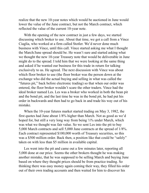realize that the new 10-year notes which would be auctioned in June would lower the value of the June contract, but not the March contract, which reflected the value of the current 10-year note.

With the opening of the new contract in just a few days, we started discussing which broker to use. About that time, we got a call from a Vince Ciaglia, who worked at a firm called Stotler. We'd never done much business with Vince, until this call. Vince started asking me what I thought the March/June spread should be. He wasn't sure and started asking what we thought the new 10-year Treasury note that would be deliverable in June might do to the spread. I told him that we were looking at the same thing and asked if he wanted our business for this trade in return for talking exclusively to us. He agreed. The next discussion with Vince was about which floor broker to use (the floor broker was the person down at the exchange who did the actual buying and selling in what was called the "futures pit," back before electronic trading) so that when our order was entered, the floor broker wouldn't scare the other traders. Vince had the ideal broker named Les. Les was a broker who worked in both the bean pit and the bond pit, and the last time he was in the bond pit, he had put his order in backwards and then had to go back in and trade his way out of his mistake.

When the 10-year futures market started trading on May 3, 1982, the first quotes had June about 1/8% higher than March. Not as good as we'd hoped for, but still a very long way from being  $\frac{1}{2}\%$  under March, which was what we thought was fair value. So we sent Les into the pit to buy 5,000 March contracts and sell 5,000 June contracts at the spread of 1/8%. Each contract represented \$100,000 worth of Treasury securities, so this was a \$500 million order. Back then, a position like that could be "safely" taken on with less than \$5 million in available capital.

Les went into the pit and came out a few minutes later, reporting all 5,000 done at our price. Seems the other brokers thought he was making another mistake, that he was supposed to be selling March and buying June based on where they thought prices should be from practice trading. So thinking there was easy money again coming their way, they filled his order out of their own trading accounts and then waited for him to discover his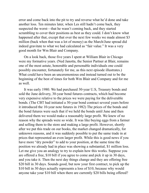error and come back into the pit to try and reverse what he'd done and take another loss. Ten minutes later, when Les still hadn't come back, they suspected the worst—that he wasn't coming back, and they started scrambling to cover their positions as best as they could. I don't know what happened after that, except that over the next few weeks we made almost \$3 million (back when that was a lot of money) as the March/June spread did indeed gravitate to what we had calculated as "fair value." It was a very good month for Wm Blair and Company.

On a look back, those five years I spent at William Blair in Chicago were my formative years. (Ned Janotta, the Senior Partner at Blair, remains one of the most astute, honorable and personable individuals one could possibly encounter, fortunately for me, as this next episode illustrates.) What could have been an unceremonious end instead turned out to be the beginning of the best of times for both Wm Blair and Company and for me as well.

It was early 1980. We had purchased 30-year U.S, Treasury bonds and sold the June delivery, 30-year bond futures contracts, which had become very expensive relative to the prices we were paying for the deliverable bonds. (The CBT had initiated a 30-year bond contract several years before it introduced the 10-year note futures in 1982) The prices of the bonds and the bond futures were such that if we held the bonds until June and then delivered them we would make a reasonably large profit. We knew of no reason why the spreads were so wide. It was like buying eggs from a farmer and selling them to the store and making a large profit. However, shortly after we put this trade on our books, the market changed dramatically, for unknown reasons, and it was suddenly possible to put the same trade in at prices that represented an even larger profit. While this is good news if you have more "dry powder" to add to your position, at the same time the position we already had in place was showing a substantial, \$1 million loss. Let me give you an analogy to try to explain how this works. Suppose you are offered a free, \$10 bill if you agree to come and pick it up in 30 days, and you take it. Then the next day things change and they are offering free \$20 bill in 30 days. Sounds good, but now your first contract, to pick up the \$10 bill in 30 days actually represents a loss of \$10, because why would anyone take your \$10 bill when there are currently \$20 bills being offered?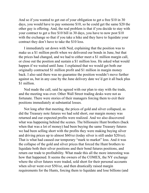And so if you wanted to get out of your obligation to get a free \$10 in 30 days, you would have to pay someone \$10, so he could get the same \$20 the other guy is offering. And, the real problem is that if you decide to stay with your contract to get a free \$10 bill in 30 days, you have to now post \$10 with the exchange so that if you take a hike and they have to liquidate your contract they don't have to take the \$10 loss.

I immediately sat down with Ned, explaining that the position was to make us a \$1 million profit when we delivered our bonds in June, but that the prices had changed, and we had to either meet a \$1 million margin call, or close out the position and sustain a \$1 million loss. He asked what would happen if we waited until June. I explained that we would get both our originally contracted \$1 million profit and \$1 million in margin money back. I also said there was no guarantee the position wouldn't move further against us, but in any case by the June delivery date we'd get it all back plus \$1 million.

Ned made the call, said he agreed with our plan to stay with the trade, and the meeting was over. Other Wall Street trading desks were not as fortunate. There were stories of their managers forcing them to exit their positions immediately at substantial losses.

Not long after that meeting, the prices of gold and silver collapsed, as did the Treasury note futures we had sold short, our margin money was returned and our expected profits were realized. And we also discovered what was happening behind the scenes. The billionaire Hunt brothers (back when that was a lot of money) had been buying the same Treasury futures we had been selling short with the profits they were making buying silver and driving prices up to almost \$60/oz (today silver is still under \$20/oz). That is what had caused our temporary "mark to market" loss. And it was the collapse of the gold and silver prices that forced the Hunt brothers to liquidate both their silver positions and their bond futures positions, and return our trade to profitability. What made this all the more interesting was how that happened. It seems the owners of the COMEX, the NY exchange where the silver futures were traded, sold short for their personal accounts when silver went over \$50/oz, and then drastically raised margin requirements for the Hunts, forcing them to liquidate and lose billions (and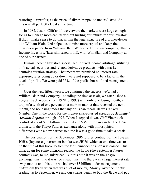restoring our profits) as the price of silver dropped to under \$10/oz. And this was all perfectly legal at the time.

In 1982, Justin, Cliff and I were aware the markets were large enough for us to manage more capital without hurting our returns for our investors. It didn't make sense to do that within the legal structure of a broker-dealer like William Blair. Ned helped us to raise more capital and keep the business separate from William Blair. We formed our own company, Illinois Income Investors, (later shortened to III), with Wm Blair and Company as one of our partners.

Illinois Income Investors specialized in fixed income arbitrage, utilizing both actual securities and related derivative products, with a market neutral/0 duration strategy. That meant we promised no interest rate exposure, rates going up or down were not supposed to be a factor in the level of profits. We were paid 35% of the profits but no fixed management fees.

Over the next fifteen years, we continued the success we'd had at William Blair and Company. Including the time at Blair, we established a 20-year track record (from 1978 to 1997) with only one losing month, a drop of a tenth of one percent on a mark to market that reversed the next month, and no losing trades that any of us can recall. III was ranked Number One in the world for the highest risk-adjusted spreads by *Managed Account Reports* through 1997. When I stepped down, Cliff Viner took control of about \$3.5 billion in capital and \$35 billion in assets. The 1996 drama with the Tokyo Futures exchange along with philosophical differences with a new partner told me it was a good time to take a break.

The designation for the September 1996 futures contract for the 10-year JGB's (Japanese government bonds) was JBU6, which at one time was to be the title of this book, before the term "innocent fraud" was coined. This time, again for some unknown reason, the JBU6 (the September futures contract) was, to me, mispriced. But this time it was on the Tokyo exchange, this time it was too cheap, this time there was a large interest rate swap market and this time we had over \$3 billion under management, bwtwalom (back when that was a lot of money). Slowly, over the months leading up to September, we and our clients began to buy the JBU6 and pay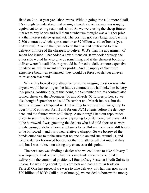fixed on 7 to 10-year yen labor swaps. Without going into a lot more detail, it's enough to understand that paying a fixed rate on a swap was roughly equivalent to selling real bonds short. So we were using the cheap futures market to buy bonds and sell them at what we thought was a higher price via the interest rate swap market. The position got very large, approaching 7,500 contracts, which represented over \$7 billion worth of bonds (yes, bwtwalom). Around then, we noticed that we had contracted to take delivery of more of the cheapest to deliver JGB's than the government of Japan had issued. That added a new dimension. If we took delivery, the other side would have to give us something, and if the cheapest bonds to deliver weren't available, they would be forced to deliver more expensive bonds to us, which meant higher profits. And, if supply of that more expensive bond was exhausted, they would be forced to deliver an even more expensive bond.

While this looked very attractive to us, the nagging question was why anyone would be selling us the futures contracts at what looked to be very low prices. Additionally, at this point, the September futures contract also looked cheap vs. the December '06 and March '07 futures prices, so we also bought September and sold December and March futures. But the futures remained cheap and we kept adding to our position. We got up to over 14,000 contracts for III and for our AVM clients before the delivery date, and the futures were still cheap. Astounding! I had our repo trader check to see if the bonds we were expecting to be delivered were available to be borrowed. I was guessing the dealers who had sold short to us were maybe going to deliver borrowed bonds to us. But no, there were still bonds to be borrowed—and borrowed relatively cheaply. So we borrowed the bonds ourselves to make sure that no one did an end run around us, and tried to deliver borrowed bonds, not that it mattered all that much if they did, but I wasn't keen on taking any chances at this point.

The next step was finding a dealer who we could use to take delivery. I was hoping to find one who had the same trade on so we could take delivery on the combined positions. I found Craig Foster at Credit Suisse in Tokyo. He was long about 7,000 contracts and had a similar trade on. Perfect! One last piece, if we were to take delivery of what was now some \$20 billion of JGB's (still a lot of money), we needed to borrow the money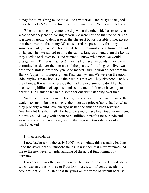to pay for them. Craig made the call to Switzerland and relayed the good news; he had a \$20 billion line from his home office. We were bullet proof.

When the notice day came, the day when the other side has to tell you what bonds they are delivering to you, we were notified that the other side was mostly going to deliver to us the cheapest bonds possible. Fine, except that there weren't that many. We considered the possibility that they somehow had gotten extra bonds that didn't previously exist from the Bank of Japan. Then we started getting the calls asking us to lend them the bonds they needed to deliver to us and wanted to know what price we would charge them. This was madness! They had to have the bonds. They were committed to deliver them to us, and the penalty for failing to deliver was absolute dismissal from the yen bond markets and unknown fines from the Bank of Japan for disrupting their financial system. We were on the good side, buying Japans bonds via their futures market. They like people to buy their bonds. It was the other side that had the explaining to do. They had been selling billions of Japan's bonds short and didn't even have any to deliver. The Bank of Japan did some serious wrist slapping over that.

Well, we did lend them the bonds, but at a price. Since we did need the dealers to stay in business, we let them out at a price of about half of what they probably would have charged us had the situation been reversed (maybe a lot less than half). Perhaps we should have been tougher on them, but we walked away with about \$150 million in profits for our side and went on record as having engineered the largest futures delivery of all time, last I checked.

### **Italian Epiphany**

I now backtrack to the early 1990's, to conclude this narrative leading up to the seven deadly innocent frauds. It was then that circumstances led me to the next level of understanding of the actual functioning of a currency.

Back then, it was the government of Italy, rather than the United States, which was in crisis. Professor Rudi Dornbusch, an influential academic economist at MIT, insisted that Italy was on the verge of default because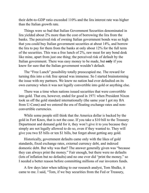their debt-to-GDP ratio exceeded 110% and the lira interest rate was higher than the Italian growth rate.

Things were so bad that Italian Government Securities denominated in lira yielded about 2% more than the cost of borrowing the lira from the banks. The perceived risk of owning Italian government bonds was so high that you could buy Italian government securities at about 14%, and borrow the lira to pay for them from the banks at only about 12% for the full term of the securities. This was a free lunch of 2%, raw meat for any bond desk like mine, apart from just one thing; the perceived risk of default by the Italian government. There was easy money to be made, but **only** if you knew for sure that the Italian government wouldn't default.

The "Free Lunch" possibility totally preoccupied me. The reward for turning this into a risk free spread was immense. So I started brainstorming the issue with my partners. We knew no nation had ever defaulted on its own currency when it was not legally convertible into gold or anything else.

There was a time when nations issued securities that were convertible into gold. That era, however, ended for good in 1971 when President Nixon took us off the gold standard internationally (the same year I got my BA from U-Conn) and we entered the era of floating exchange rates and nonconvertible currencies.

While some people still think that the America dollar is backed by the gold in Fort Knox, that is not the case. If you take a \$10 bill to the Treasury Department and demand gold for it, they won't give it to you because they simply are not legally allowed to do so, even if they wanted to. They will give you two \$5 bills or ten \$1 bills, but forget about getting any gold.

Historically, government defaults came only with the likes of gold standards, fixed exchange rates, external currency debt, and indexed domestic debt. But why was that? The answer generally given was "because they can always print the money." Fair enough, but there were no defaults (lots of inflation but no defaults) and no one ever did "print the money," so I needed a better reason before committing millions of our investors funds.

A few days later when talking to our research analyst, Tom Shulke, it came to me. I said, "Tom, if we buy securities from the Fed or Treasury,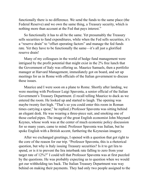functionally there is no difference. We send the funds to the same place (the Federal Reserve) and we own the same thing, a Treasury security, which is nothing more than account at the Fed that pays interest."

So functionally it has to all be the same. Yet presumably the Treasury sells securities to fund expenditures, while when the Fed sells securities, it's a "reserve drain" to "offset operating factors" and manage the fed funds rate. Yet they have to be functionally the same—it's all just a glorified reserve drain!

Many of my colleagues in the world of hedge fund management were intrigued by the profit potential that might exist in the 2% free lunch that the Government of Italy was offering us. Maurice Samuels, then a portfolio manager at Harvard Management, immediately got on board, and set up meetings for us in Rome with officials of the Italian government to discuss these issues.

Maurice and I were soon on a plane to Rome. Shortly after landing, we were meeting with Professor Luigi Spaventa, a senior official of the Italian Government's Treasury Department. (I recall telling Maurice to duck as we entered the room. He looked up and started to laugh. The opening was maybe twenty feet high. "That's so you could enter this room in Roman times carrying a spear," he replied.) Professor Spaventa was sitting behind an elegant desk. He was wearing a three-piece suit, and smoking one of those curled pipes. The image of the great English economist John Maynard Keynes, whose work was at the center of much economic policy discussion for so many years, came to mind. Professor Spaventa was Italian, but he spoke English with a British accent, furthering the Keynesian imagery.

After we exchanged greetings, I opened with a question that got right to the core of the reason for our trip. "Professor Spaventa, this is a rhetorical question, but why is Italy issuing Treasury securities? Is it to get lira to spend, or is it to prevent the lira interbank rate falling to zero from your target rate of 12%?" I could tell that Professor Spaventa was at first puzzled by the questions. He was probably expecting us to question when we would get our withholding tax back. The Italian Treasury Department was way behind on making their payments. They had only two people assigned to the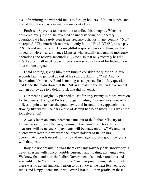task of remitting the withheld funds to foreign holders of Italian bonds, and one of these two was a woman on maternity leave.

Professor Spaventa took a minute to collect his thoughts. When he answered my question, he revealed an understanding of monetary operations we had rarely seen from Treasury officials in any country. "No," he replied. "The interbank rate would only fall to  $\frac{1}{2}\%$ , NOT 0%, as we pay <sup>1</sup>/<sub>2</sub>% interest on reserves." His insightful response was everything we had hoped for. Here was a Finance Minister who actually understood monetary operations and reserve accounting! (Note also that only recently has the U.S. Fed been allowed to pay interest on reserves as a tool for hitting their interest rate target.)

I said nothing, giving him more time to consider the question. A few seconds later he jumped up out of his seat proclaiming "Yes! And the International Monetary Fund is making us act pro cyclical!" My question had led to the realization that the IMF was making the Italian Government tighten policy due to a default risk that did not exist.

Our meeting, originally planned to last for only twenty minutes, went on for two hours. The good Professor began inviting his associates in nearby offices to join us to hear the good news, and instantly the cappuccino was flowing like water. The dark cloud of default had been lifted. This was time for celebration!

A week later, an announcement came out of the Italian Ministry of Finance regarding all Italian government bonds—"No extraordinary measures will be taken. All payments will be made on time." We and our clients were later told we were the largest holders of Italian lira denominated bonds outside of Italy, and managed a pretty good few years with that position.

Italy did not default, nor was there ever any solvency risk. Insolvency is never an issue with nonconvertible currency and floating exchange rates. We knew that, and now the Italian Government also understood this and was unlikely to "do something stupid," such as proclaiming a default when there was no actual financial reason to do so. Over the next few years, our funds and happy clients made well over \$100 million in profits on these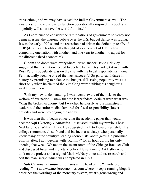transactions, and we may have saved the Italian Government as well. The awareness of how currencies function operationally inspired this book and hopefully will soon save the world from itself.

As I continued to consider the ramifications of government solvency not being an issue, the ongoing debate over the U.S. budget deficit was raging. It was the early 1990's, and the recession had driven the deficit up to 5% of GDP (deficits are traditionally thought of as a percent of GDP when comparing one nation with another, and one year to another, to adjust for the different sized economies).

Gloom and doom were everywhere. News anchor David Brinkley suggested that the nation needed to declare bankruptcy and get it over with. Ross Perot's popularity was on the rise with his fiscal responsibility theme. Perot actually became one of the most successful 3rd party candidates in history by promising to balance the budget. (His rising popularity was cut short only when he claimed the Viet Cong were stalking his daughter's wedding in Texas.)

With my new understanding, I was keenly aware of the risks to the welfare of our nation. I knew that the larger federal deficits were what was *fixing* the broken economy, but I watched helplessly as our mainstream leaders and the entire media clamored for fiscal responsibility (lower deficits) and were prolonging the agony.

It was then that I began conceiving the academic paper that would become *Soft Currency Economics*. I discussed it with my previous boss, Ned Janotta, at William Blair. He suggested I talk to Donald Rumsfeld (his college roommate, close friend and business associate), who personally knew many of the country's leading economists, about getting it published. Shortly after, I got together with "Rummy" for an hour during his only opening that week. We met in the steam room of the Chicago Racquet Club and discussed fiscal and monetary policy. He sent me to Art Laffer who took on the project and assigned Mark McNary to co-author, research and edit the manuscript, which was completed in 1993.

*Soft Currency Economics* remains at the head of the "mandatory readings" list at www.moslereconomics.com where I keep a running blog. It describes the workings of the monetary system, what's gone wrong and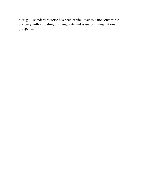how gold standard rhetoric has been carried over to a nonconvertible currency with a floating exchange rate and is undermining national prosperity.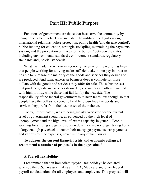# **Part III: Public Purpose**

Functions of government are those that best serve the community by being done collectively. These include: The military, the legal system, international relations, police protection, public health (and disease control), public funding for education, strategic stockpiles, maintaining the payments system, and the prevention of "races to the bottom" between the states, including environmental standards, enforcement standards, regulatory standards and judicial standards.

What has made the American economy the envy of the world has been that people working for a living make sufficient take-home pay in order to be able to purchase the majority of the goods and services they desire and are produced. And what American business does is compete for those dollars with the goods and services they offer for sale. Those businesses that produce goods and services desired by consumers are often rewarded with high profits, while those that fail fall by the wayside. The responsibility of the federal government is to keep taxes low enough so that people have the dollars to spend to be able to purchase the goods and services they prefer from the businesses of their choice.

Today, unfortunately, we are being grossly overtaxed for the current level of government spending, as evidenced by the high level of unemployment and the high level of excess capacity in general. People working for a living are getting squeezed, as they are no longer taking home a large enough pay check to cover their mortgage payments, car payments and various routine expenses, never mind any extra luxuries.

# **To address the current financial crisis and economic collapse, I recommend a number of proposals in the pages ahead.**

# **A Payroll Tax Holiday**

I recommend that an immediate "payroll tax holiday" be declared whereby the U.S. Treasury makes all FICA, Medicare and other federal payroll tax deductions for all employees and employers. This proposal will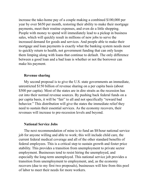increase the take-home pay of a couple making a combined \$100,000 per year by over \$650 per month, restoring their ability to make their mortgage payments, meet their routine expenses, and even do a little shopping. People with money to spend will immediately lead to a pickup in business sales, which will quickly result in millions of new jobs to serve the increased demand for goods and services. And people able to make their mortgage and loan payments is exactly what the banking system needs most to quickly return to health, not government funding that can only keeps them limping along with loans that continue to default. The only difference between a good loan and a bad loan is whether or not the borrower can make his payment.

# **Revenue sharing**

My second proposal is to give the U.S. state governments an immediate, unrestricted \$150 billion of revenue sharing on a per capita basis (about \$500 per capita). Most of the states are in dire straits as the recession has cut into their normal revenue sources. By pushing back federal funds on a per capita basis, it will be "fair" to all and not specifically "reward bad behavior." This distribution will give the states the immediate relief they need to sustain their essential services. As the economy recovers, their revenues will increase to pre-recession levels and beyond.

# **National Service Jobs**

The next recommendation of mine is to fund an \$8/hour national service job for anyone willing and able to work; this will include child care, the current federal medical coverage and all of the other standard benefits of federal employees. This is a critical step to sustain growth and foster price stability. This provides a transition from unemployment to private sector employment. Businesses tend to resist hiring the unemployed, and especially the long-term unemployed. This national service job provides a transition from unemployment to employment, and, as the economy recovers (due to my first two proposals), businesses will hire from this pool of labor to meet their needs for more workers.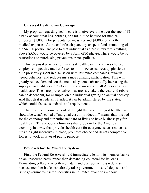### **Universal Health Care Coverage**

My proposal regarding health care is to give everyone over the age of 18 a bank account that has, perhaps, \$5,000 in it, to be used for medical purposes. \$1,000 is for preventative measures and \$4,000 for all other medical expenses. At the end of each year, any unspent funds remaining of the \$4,000 portion are paid to that individual as a "cash rebate." Anything above \$5,000 would be covered by a form of Medicare. There would be no restrictions on purchasing private insurance policies.

This proposal provides for universal health care, maximizes choice, employs competitive market forces to minimize costs, frees up physician time previously spent in discussion with insurance companies, rewards "good behavior" and reduces insurance company participation. This will greatly reduce demands on the medical system, substantially increasing the supply of available doctor/patient time and makes sure all Americans have health care. To ensure preventative measures are taken, the year-end rebate can be dependent, for example, on the individual getting an annual checkup. And though it is federally funded, it can be administered by the states, which could also set standards and requirements.

There is no economic school of thought that would suggest health care should be what's called a "marginal cost of production" means that it is bad for the economy and our entire standard of living to have business pay for health care. This proposal eliminates that problem for the American economy in a way that provides health care for everyone, saves real costs, puts the right incentives in place, promotes choice and directs competitive forces to work in favor of public purpose.

### **Proposals for the Monetary System**

First, the Federal Reserve should immediately lend to its member banks on an unsecured basis, rather than demanding collateral for its loans. Demanding collateral is both redundant and obstructive. It is redundant because member banks can already raise government-insured deposits and issue government-insured securities in unlimited quantities without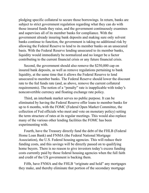pledging specific collateral to secure those borrowings. In return, banks are subject to strict government regulation regarding what they can do with those insured funds they raise, and the government continuously examines and supervises all of its member banks for compliance. With the government already insuring bank deposits and making sure only solvent banks continue to function, the government is taking no additional risk by allowing the Federal Reserve to lend to its member banks on an unsecured basis. With the Federal Reserve lending unsecured to its member banks, liquidity would immediately be normalized and no longer be a factor contributing to the current financial crisis or any future financial crisis.

Second, the government should also remove the \$250,000 cap on insured bank deposits, as well as remove regulations pertaining to bank liquidity, at the same time that it allows the Federal Reserve to lend unsecured to member banks. The Federal Reserve should lower the discount rate to the fed funds rate (and, as above, remove the current collateral requirements). The notion of a "penalty" rate is inapplicable with today's nonconvertible currency and floating exchange rate policy.

Third, an interbank market serves no public purpose. It can be eliminated by having the Federal Reserve offer loans to member banks for up to 6 months, with the FOMC (Federal Open Market Committee, the collection of Fed officials who meet and vote on monetary policy) setting the term structure of rates at its regular meetings. This would also replace many of the various other lending facilities the FOMC has been experimenting with.

Fourth, have the Treasury directly fund the debt of the FHLB (Federal Home Loan Bank) and FNMA (the Federal National Mortgage Association), the U.S. Federal housing agencies. This will reduce their funding costs, and this savings will be directly passed on to qualifying home buyers. There is no reason to give investors today's excess funding costs currently paid by those federal housing agencies when the full faith and credit of the US government is backing them.

Fifth, have FNMA and the FHLB "originate and hold" any mortgages they make, and thereby eliminate that portion of the secondary mortgage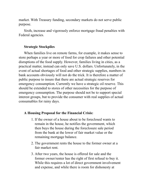market. With Treasury funding, secondary markets do not serve public purpose.

Sixth, increase and vigorously enforce mortgage fraud penalties with Federal agencies.

# **Strategic Stockpiles**

When families live on remote farms, for example, it makes sense to store perhaps a year or more of food for crop failures and other potential disruptions of the food supply. However, families living in cities, as a practical matter, instead can only save U.S. dollars. Unfortunately, in the event of actual shortages of food and other strategic supplies, numbers in bank accounts obviously will not do the trick. It is therefore a matter of public purpose to insure that there are actual strategic reserves for emergency consumption. Currently we have a strategic oil reserve. This should be extended to stores of other necessities for the purpose of emergency consumption. The purpose should not be to support special interest groups, but to provide the consumer with real supplies of actual consumables for rainy days.

# **A Housing Proposal for the Financial Crisis:**

- 1. If the owner of a house about to be foreclosed wants to remain in the house, he notifies the government, which then buys the house during the foreclosure sale period from the bank at the lower of fair market value or the remaining mortgage balance.
- 2. The government rents the house to the former owner at a fair market rent.
- 3. After two years, the house is offered for sale and the former owner/renter has the right of first refusal to buy it. While this requires a lot of direct government involvement and expense, and while there is room for dishonesty at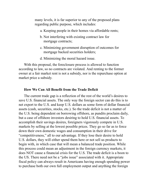many levels, it is far superior to any of the proposed plans regarding public purpose, which includes:

- a. Keeping people in their homes via affordable rents;
- b. Not interfering with existing contract law for mortgage contracts;
- c. Minimizing government disruption of outcomes for mortgage backed securities holders;
- d. Minimizing the moral hazard issue.

With this proposal, the foreclosure process is allowed to function according to law, so no contracts are violated. And renting to the former owner at a fair market rent is not a subsidy, nor is the repurchase option at market price a subsidy.

#### **How We Can All Benefit from the Trade Deficit**

The current trade gap is a reflection of the rest of the world's desires to save U.S. financial assets. The only way the foreign sector can do this is to net export to the U.S. and keep U.S. dollars as some form of dollar financial assets (cash, securities, stocks, etc.). So the trade deficit is not a matter of the U.S. being dependent on borrowing offshore, as pundits proclaim daily, but a case of offshore investors desiring to hold U.S. financial assets. To accomplish their savings desires, foreigners vigorously compete in U.S. markets by selling at the lowest possible prices. They go so far as to force down their own domestic wages and consumption in their drive for "competitiveness," all to our advantage. If they lose their desire to hold U.S. dollars, they will either spend them here or not sell us products to begin with, in which case that will mean a balanced trade position. While this process could mean an adjustment in the foreign currency markets, it does NOT cause a financial crisis for the U.S. The trade deficit is a boon to the US. There need not be a "jobs issue" associated with it. Appropriate fiscal policy can always result in Americans having enough spending power to purchase both our own full employment output and anything the foreign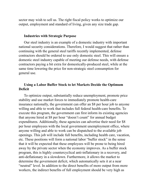sector may wish to sell us. The right fiscal policy works to optimize our output, employment and standard of living, given any size trade gap.

#### **Industries with Strategic Purpose**

Our steel industry is an example of a domestic industry with important national security considerations. Therefore, I would suggest that rather than continuing with the general steel tariffs recently implemented, defense contractors should be ordered to use only domestic steel. This will ensure a domestic steel industry capable of meeting our defense needs, with defense contractors paying a bit extra for domestically-produced steel, while at the same time lowering the price for non-strategic steel consumption for general use.

# **Using a Labor Buffer Stock to let Markets Decide the Optimum Deficit**

To optimize output, substantially reduce unemployment, promote price stability and use market forces to immediately promote health-care insurance nationally, the government can offer an \$8 per hour job to anyone willing and able to work that includes full federal health-care benefits. To execute this program, the government can first inform its existing agencies that anyone hired at \$8 per hour "doesn't count" for annual budget expenditures. Additionally, these agencies can advertise their need for \$8 per hour employees with the local government unemployment office, where anyone willing and able to work can be dispatched to the available job openings. This job will include full benefits, including health care, vacation, etc. These positions will form a national labor "buffer stock" in the sense that it will be expected that these employees will be prone to being hired away by the private sector when the economy improves. As a buffer stock program, this is highly countercyclical anti-inflationary in a recovery, and anti-deflationary in a slowdown. Furthermore, it allows the market to determine the government deficit, which automatically sets it at a near "neutral" level. In addition to the direct benefits of more output from more workers, the indirect benefits of full employment should be very high as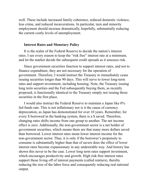well. These include increased family coherence, reduced domestic violence, less crime, and reduced incarcerations. In particular, teen and minority employment should increase dramatically, hopefully, substantially reducing the current costly levels of unemployment.

### **Interest Rates and Monetary Policy**

It is the realm of the Federal Reserve to decide the nation's interest rates. I see every reason to keep the "risk free" interest rate at a minimum, and let the market decide the subsequent credit spreads as it assesses risk.

Since government securities function to support interest rates, and not to finance expenditure, they are not necessary for the operation of government. Therefore, I would instruct the Treasury to immediately cease issuing securities longer than 90 days. This will serve to lower long-term rates and support investment, including housing. Note, the Treasury issuing long term securities and the Fed subsequently buying them, as recently proposed, is functionally identical to the Treasury simply not issuing those securities in the first place.

I would also instruct the Federal Reserve to maintain a Japan like 0% fed funds rate. This is not inflationary nor is it the cause of currency depreciation, as Japan has demonstrated for over 10 years. Remember, for every \$ borrowed in the banking system, there is a \$ saved. Therefore, changing rates shifts income from one group to another. The net income effect is zero. Additionally, the non-government sector is a net holder of government securities, which means there are that many more dollars saved than borrowed. Lower interest rates mean lower interest income for the non-government sector. Thus, it is only if the borrower's propensity to consume is substantially higher than that of savers does the effect of lower interest rates become expansionary in any undesirable way. And history has shown this never to be the case. Lower long term rates support investment, which encourages productivity and growth. High risk-free interest rates support those living off of interest payments (called rentiers), thereby reducing the size of the labor force and consequently reducing real national output.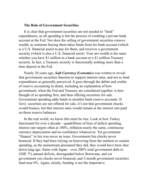### **The Role of Government Securities**

It is clear that government securities are not needed to "fund" expenditures, as all spending is but the process of crediting a private bank account at the Fed. Nor does the selling of government securities remove wealth, as someone buying them takes funds from his bank account (which is a U.S. financial asset) to pay for them, and receives a government security (which is also a U.S. financial asset). Your net wealth is the same whether you have \$1 million in a bank account or a \$1 million Treasury security. In fact, a Treasury security is functionally nothing more than a time deposit at the Fed.

Nearly 20 years ago, *Soft Currency Economics* was written to reveal that government securities function to support interest rates, and not to fund expenditures as generally perceived. It goes through the debits and credits of reserve accounting in detail, including an explanation of how government, when the Fed and Treasury are considered together, is best thought of as spending first, and then offering securities for sale. Government spending adds funds to member bank reserve accounts. If Govt. securities are not offered for sale, it's not that government checks would bounce, but that interest rates would remain at the interest rate paid on those reserve balances.

In the real world, we know this must be true. Look at how Turkey functioned for over a decade—quadrillions of liras of deficit spending, interest rate targets often at 100%, inflation nearly the same, continuous currency depreciation and no confidence whatsoever. Yet government "finance" in lira was never an issue. Government lira checks never bounced. If they had been relying on borrowing from the markets to sustain spending, as the mainstream presumed they did, they would have been shut down long ago. Same with Japan – over 200% total government debt to GDP, 7% annual deficits, downgraded below Botswana, and yet government yen checks never bounced, and 3-month government securities fund near 0%. Again, clearly, funding is not the imperative.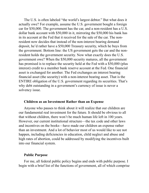The U.S. is often labeled "the world's largest debtor." But what does it actually owe? For example, assume the U.S. government bought a foreign car for \$50,000. The government has the car, and a non-resident has a U.S. dollar bank account with \$50,000 in it, mirroring the \$50,000 his bank has in its account at the Fed that it received for the sale of the car. The nonresident now decides that instead of the non-interest bearing demand deposit, he'd rather have a \$50,000 Treasury security, which he buys from the government. Bottom line: the US government gets the car and the nonresident holds the government security. Now what exactly does the U.S. government owe? When the \$50,000 security matures, all the government has promised is to replace the security held at the Fed with a \$50,000 (plus interest) credit to a member bank reserve account at the Fed. One financial asset is exchanged for another. The Fed exchanges an interest bearing financial asset (the security) with a non-interest bearing asset. That is the ENTIRE obligation of the U.S. government regarding its securities. That's why debt outstanding in a government's currency of issue is never a solvency issue.

#### **Children as an Investment Rather than an Expense**

Anyone who pauses to think about it will realize that our children are our fundamental real investment for the future. It should be obvious to all that without children, there won't be much human life left in 100 years. However, our current institutional structure—the tax code and other laws and incentives on the books—have made our children an expense rather than an investment. And a lot of behavior most of us would like to see not happen, including deficiencies in education, child neglect and abuse and high rates of abortion, could be addressed by modifying the incentives built into our financial system.

### **Public Purpose**

For me, all federal public policy begins and ends with public purpose. I begin with a brief list of the functions of government, all of which comprise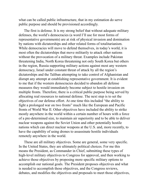what can be called public infrastructure, that in my estimation do serve public purpose and should be provisioned accordingly.

The first is defense. It is my strong belief that without adequate military defenses, the world's democracies (a word I'll use for most forms of representative governments) are at risk of physical invasion and domination by nations with dictatorships and other related forms of totalitarianism. While democracies will move to defend themselves, in today's world, it is most often the dictatorships that move militarily to attack other nations without the provocation of a military threat. Examples include Pakistan threatening India, North Korea threatening not only South Korea but others in the region, Russia supporting military actions against most any western democracy, Israel under constant threat of attack by all the region's dictatorships and the Taliban attempting to take control of Afghanistan and disrupt any attempt at establishing representative government. It is evident to me that if the western democracies decided to abandon all defense measures they would immediately become subject to hostile invasion on multiple fronts. Therefore, there is a critical public purpose being served by allocating real resources to national defense. The next step is to set the objectives of our defense effort. At one time this included "the ability to fight a prolonged war on two fronts" much like the European and Pacific fronts of World War II. Other objectives have included the ability to strike mostly anywhere in the world within a certain number of hours with a force of a pre-determined size, to maintain air superiority and to be able to deliver nuclear weapons against the Soviet Union and other potentially hostile nations which can direct nuclear weapons at the U.S. and, more recently, to have the capability of using drones to assassinate hostile individuals remotely anywhere in the world.

These are all military objectives. Some are general, some very specific. In the United States, they are ultimately political choices. For me this means the President, as Commander in Chief, submitting these types of high-level military objectives to Congress for approval, and then working to achieve those objectives by proposing more specific military options to accomplish our national goals. The President proposes objectives and what is needed to accomplish those objectives, and the Congress reviews, debates, and modifies the objectives and proposals to meet those objectives,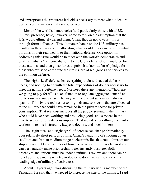and appropriates the resources it decides necessary to meet what it decides best serves the nation's military objectives.

Most of the world's democracies (and particularly those with a U.S. military presence) have, however, come to rely on the assumption that the U.S. would ultimately defend them. Often, though not always, this is through formal alliances. This ultimate reliance on the U.S. military has resulted in these nations not allocating what would otherwise be substantial portions of their real wealth to their national defense. One option for addressing this issue would be to meet with the world's democracies and establish what a "fair contribution" to the U.S. defense effort would be for these nations, and then go so far as to publish a "non-defense" pledge for those who refuse to contribute their fair share of real goods and services to the common defense.

The 'right sized' defense has everything to do with actual defense needs, and nothing to do with the total expenditures of dollars necessary to meet the nation's defense needs. Nor need there any mention of "how are we going to pay for it" as taxes function to regulate aggregate demand and not to raise revenue per se. The way we, the current generation, always "pay for I"' is by the real resources—goods and services—that are allocated to the military that could have remained in the private sector for private consumption. That real cost includes all the people serving in the military who could have been working and producing goods and services in the private sector for private consumption. That includes everything from auto workers to tennis instructors, lawyers, doctors, and stock brokers.

The "right size" and "right type" of defense can change dramatically over relatively short periods of time. China's capability of shooting down satellites and Iranian medium range nuclear missiles that could threaten our shipping are but two examples of how the advance of military technology can very quickly make prior technologies instantly obsolete. Both objectives and options must be under continuous review, and there can be no let up in advancing new technologies to do all we can to stay on the leading edge of military effectiveness.

About 10 years ago I was discussing the military with a member of the Pentagon. He said that we needed to increase the size of the military. I said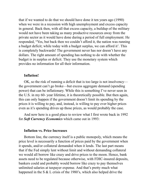that if we wanted to do that we should have done it ten years ago (1990) when we were in a recession with high unemployment and excess capacity in general. Back then, with all that excess capacity, a buildup of the military would not have been taking as many productive resources away from the private sector as it would have done during a period of full employment. He responded, "Yes, but back then we couldn't afford it, the nation was running a budget deficit; while today with a budget surplus, we can afford it'. This is completely backwards! The government never has nor doesn't have any dollars. The right amount of spending has nothing to do with whether the budget is in surplus or deficit. They use the monetary system which provides no information for all their information.

### **Inflation!**

OK, so the risk of running a deficit that is too large is not insolvency the government can't go broke—but excess aggregate demand (spending power) that can be inflationary. While this is something I've never seen in the U.S. in my 60- year lifetime, it is theoretically possible. But then again, this can only happen if the government doesn't limit its spending by the prices it is willing to pay, and, instead, is willing to pay ever higher prices even as it's spending drives up those prices, as would probably the case.

And now here is a good place to review what I first wrote back in 1992 for *Soft Currency Economics* which came out in 1993:

### **Inflation vs. Price Increases**

Bottom line, the currency itself is a public monopoly, which means the price level is necessarily a function of prices paid by the government when it spends, and/or collateral demanded when it lends. The last part means that if the Fed simply lent without limit and without demanding collateral we would all borrow like crazy and drive prices to the moon. Hence, bank assets need to be regulated because otherwise, with FDIC-insured deposits, bankers could and probably would borrow like crazy to pay themselves unlimited salaries at taxpayer expense. And that's pretty much what happened in the S & L crisis of the 1980's, which also helped drive the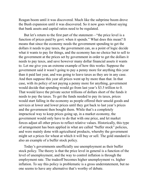Reagan boom until it was discovered. Much like the subprime boom drove the Bush expansion until it was discovered. So it now goes without saying that bank assets and capital ratios need to be regulated.

But let's return to the first part of the statement—"the price level is a function of prices paid by govt. when it spends." What does this mean? It means that since the economy needs the government spending to get the dollars it needs to pay taxes, the government can, as a point of logic decide what it wants to pay for things, and the economy has no choice but to sell to the government at the prices set by government in order to get the dollars it needs to pay taxes, and save however many dollar financial assets it wants to. Let me give you an extreme example of how this works: Suppose the government said it wasn't going to pay a penny more for anything this year than it paid last year, and was going to leave taxes as they are in any case. And then suppose this year all prices went up by more than that. In that case, with its policy of not paying a penny more for anything, government would decide that spending would go from last year's \$3.5 trillion to 0. That would leave the private sector trillions of dollars short of the funds it needs to pay the taxes. To get the funds needed to pay its taxes, prices would start falling in the economy as people offered their unsold goods and services at lower and lower prices until they got back to last year's prices and the government then bought them. While that's a completely impractical way to keep prices going up, in a market economy, the government would only have to do that with one price, and let market forces adjust all other prices to reflect relative values. Historically, this type of arrangement has been applied in what are called "buffer stock" policies, and were mainly done with agricultural products, whereby the government might set a prices for wheat at which it will buy or sell. The gold standard is also an example of a buffer stock policy.

Today's governments unofficially use unemployment as their buffer stock policy. The theory is that the price level in general is a function of the level of unemployment, and the way to control inflation is through the employment rate. The tradeoff becomes higher unemployment vs. higher inflation. To say this policy is problematic is a gross understatement, but no one seems to have any alternative that's worthy of debate.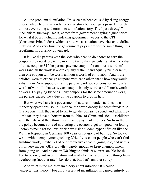All the problematic inflation I've seen has been caused by rising energy prices, which begins as a relative value story but soon gets passed through to most everything and turns into an inflation story. The "pass through" mechanism, the way I see it, comes from government paying higher prices for what it buys, including indexing government wages to the CPI (Consumer Price Index), which is how we as a nation have chosen to define inflation. And every time the government pays more for the same thing, it is redefining its currency downward.

It is like the parents with the kids who need to do chores to earn the coupons they need to pay the monthly tax to their parents. What is the value of those coupons? If the parents pay one coupon for an hour's worth of work (and all the work is about equally difficult and equally "unpleasant"), then one coupon will be worth an hour's worth of child labor. And if the children were to exchange coupons with each other, that's how they would value them. Now suppose that the parents paid two coupons for an hour's worth of work. In that case, each coupon is only worth a half hour's worth of work. By paying twice as many coupons for the same amount of work, the parents caused the value of the coupons to drop in half.

But what we have is a government that doesn't understand its own monetary operations, so, in America, the seven deadly innocent frauds rule. Our leaders think they need to tax to get the dollars to spend, and what they don't tax they have to borrow from the likes of China and stick our children with the tab. And they think they have to pay market prices. So from there the policy becomes one of not letting the economy get too good, not letting unemployment get too low, or else we risk a sudden hyperinflation like the Weimar Republic in Germany 100 years or so ago. Sad but true. So today, we sit with unemployment pushing 20% if you count people who can't find full-time work, maybe 1/3 of our productive capacity going idle, and with a bit of very modest GDP growth—barely enough to keep unemployment from going up. And no one in Washington thinks it's unreasonable for the Fed to be on guard over inflation and ready to hike rates to keep things from overheating (not that rate hikes do that, but that's another story).

And what is the mainstream theory about inflation? It's called "expectations theory." For all but a few of us, inflation is caused entirely by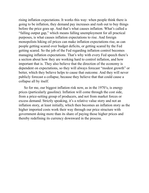rising inflation expectations. It works this way: when people think there is going to be inflation, they demand pay increases and rush out to buy things before the price goes up. And that's what causes inflation. What's called a "falling output gap," which means falling unemployment for all practical purposes, is what causes inflation expectations to rise. And foreign monopolists hiking oil prices can make inflation expectations rise, as can people getting scared over budget deficits, or getting scared by the Fed getting scared. So the job of the Fed regarding inflation control becomes managing inflation expectations. That's why with every Fed speech there's a section about how they are working hard to control inflation, and how important that is. They also believe that the direction of the economy is dependent on expectations, so they will always forecast "modest growth" or better, which they believe helps to cause that outcome. And they will never publicly forecast a collapse, because they believe that that could cause a collapse all by itself.

So for me, our biggest inflation risk now, as in the 1970's, is energy prices (particularly gasoline). Inflation will come through the cost side, from a price-setting group of producers, and not from market forces or excess demand. Strictly speaking, it's a relative value story and not an inflation story, at least initially, which then becomes an inflation story as the higher imported costs work their way through our price structure with government doing more than its share of paying those higher prices and thereby redefining its currency downward in the process.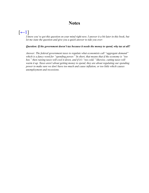## **Notes**

#### $\left[\leftarrow\right]$

I know you've got this question on your mind right now. I answer it a bit later in this book, but *let me state the question and give you a quick answer to tide you over:*

#### *Question: If the government doesn't tax because it needs the money to spend, why tax at all?*

*Answer: The federal government taxes to regulate what economists call "aggregate demand" which is a fancy word for "spending power." In short, that means that if the economy is "too hot," then raising taxes will cool it down, and if it's "too cold," likewise, cutting taxes will warm it up. Taxes aren't about getting money to spend, they are about regulating our spending power to make sure we don't have too much and cause inflation, or too little which causes unemployment and recessions.*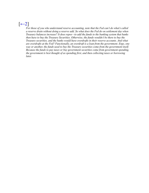# $[-2]$

*For those of you who understand reserve accounting, note that the Fed can't do what's called a reserve drain without doing a reserve add. So what does the Fed do on settlement day when Treasury balances increase? It does repos—to add the funds to the banking system that banks then have to buy the Treasury Securities. Otherwise, the funds wouldn't be there to buy the Treasury securities, and the banks would have overdrafts in their reserve accounts. And what are overdrafts at the Fed? Functionally, an overdraft is a loan from the government. Ergo, one way or another, the funds used to buy the Treasury securities come from the government itself. Because the funds to pay taxes or buy government securities come from government spending, the government is best thought of as spending first, and then collecting taxes or borrowing later.*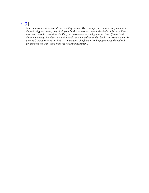# $[-3]$

*Note on how this works inside the banking system: When you pay taxes by writing a check to the federal government, they debit your bank's reserve account at the Federal Reserve Bank reserves can only come from the Fed; the private sector can't generate them. If your bank doesn't have any, the check you write results in an overdraft in that bank's reserve account. An overdraft is a loan from the Fed. So in any case, the funds to make payments to the federal government can only come from the federal government.*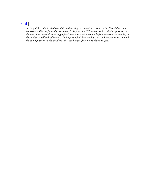## $[-4]$

*Just a quick reminder that our state and local governments are users of the U.S. dollar, and not issuers, like the federal government is. In fact, the U.S. states are in a similar position as* the rest of us: we both need to get funds into our bank accounts before we write our checks, or *those checks will indeed bounce. In the parent/children analogy, we and the states are in much the same position as the children, who need to get first before they can give.*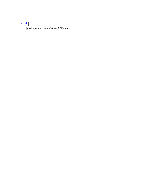$\left[ \leftarrow 5 \right]$ *Quotes from President Barack Obama*